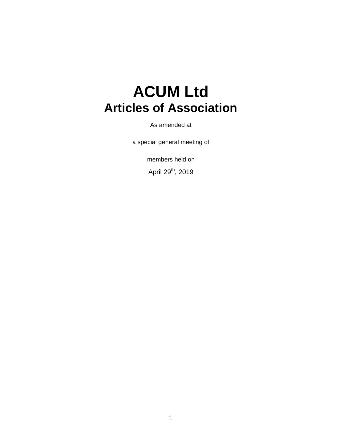# **ACUM Ltd Articles of Association**

As amended at

a special general meeting of

members held on

April 29<sup>th</sup>, 2019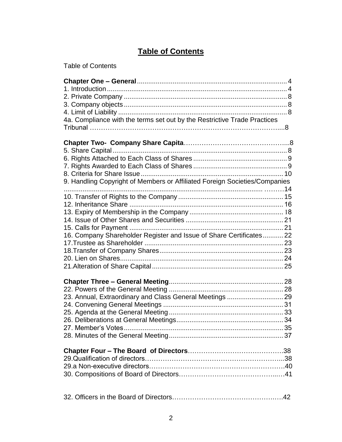# **Table of Contents**

| 4a. Compliance with the terms set out by the Restrictive Trade Practices   |  |
|----------------------------------------------------------------------------|--|
| 9. Handling Copyright of Members or Affiliated Foreign Societies/Companies |  |
| 16. Company Shareholder Register and Issue of Share Certificates 22        |  |
| 23. Annual, Extraordinary and Class General Meetings  29                   |  |
|                                                                            |  |
|                                                                            |  |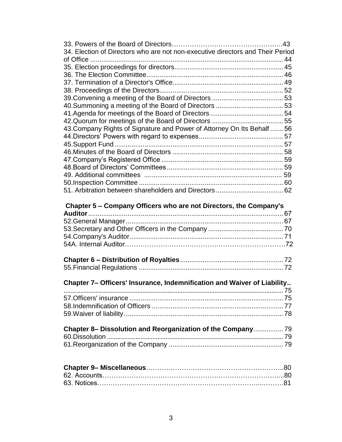| 34. Election of Directors who are not non-executive directors and Their Period |  |
|--------------------------------------------------------------------------------|--|
|                                                                                |  |
|                                                                                |  |
|                                                                                |  |
|                                                                                |  |
|                                                                                |  |
|                                                                                |  |
|                                                                                |  |
|                                                                                |  |
| 43. Company Rights of Signature and Power of Attorney On Its Behalf  56        |  |
|                                                                                |  |
|                                                                                |  |
|                                                                                |  |
|                                                                                |  |
|                                                                                |  |
|                                                                                |  |
|                                                                                |  |
|                                                                                |  |
|                                                                                |  |
| Chapter 5 - Company Officers who are not Directors, the Company's              |  |
|                                                                                |  |
|                                                                                |  |
|                                                                                |  |
|                                                                                |  |
|                                                                                |  |
|                                                                                |  |
|                                                                                |  |
|                                                                                |  |
| Chapter 7- Officers' Insurance, Indemnification and Waiver of Liability        |  |
|                                                                                |  |
|                                                                                |  |
|                                                                                |  |
|                                                                                |  |
| Chapter 8- Dissolution and Reorganization of the Company 79                    |  |
|                                                                                |  |
|                                                                                |  |
|                                                                                |  |
|                                                                                |  |
|                                                                                |  |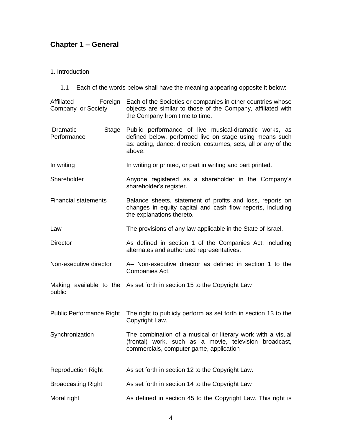# <span id="page-3-0"></span>**Chapter 1 – General**

<span id="page-3-1"></span>1. Introduction

1.1 Each of the words below shall have the meaning appearing opposite it below:

| Affiliated<br>Foreign<br>Company or Society | Each of the Societies or companies in other countries whose<br>objects are similar to those of the Company, affiliated with<br>the Company from time to time.                                 |
|---------------------------------------------|-----------------------------------------------------------------------------------------------------------------------------------------------------------------------------------------------|
| Dramatic<br><b>Stage</b><br>Performance     | Public performance of live musical-dramatic works, as<br>defined below, performed live on stage using means such<br>as: acting, dance, direction, costumes, sets, all or any of the<br>above. |
| In writing                                  | In writing or printed, or part in writing and part printed.                                                                                                                                   |
| Shareholder                                 | Anyone registered as a shareholder in the Company's<br>shareholder's register.                                                                                                                |
| <b>Financial statements</b>                 | Balance sheets, statement of profits and loss, reports on<br>changes in equity capital and cash flow reports, including<br>the explanations thereto.                                          |
| Law                                         | The provisions of any law applicable in the State of Israel.                                                                                                                                  |
| <b>Director</b>                             | As defined in section 1 of the Companies Act, including<br>alternates and authorized representatives.                                                                                         |
| Non-executive director                      | A- Non-executive director as defined in section 1 to the<br>Companies Act.                                                                                                                    |
| public                                      | Making available to the As set forth in section 15 to the Copyright Law                                                                                                                       |
| <b>Public Performance Right</b>             | The right to publicly perform as set forth in section 13 to the<br>Copyright Law.                                                                                                             |
| Synchronization                             | The combination of a musical or literary work with a visual<br>(frontal) work, such as a movie, television broadcast,<br>commercials, computer game, application                              |
| <b>Reproduction Right</b>                   | As set forth in section 12 to the Copyright Law.                                                                                                                                              |
| <b>Broadcasting Right</b>                   | As set forth in section 14 to the Copyright Law                                                                                                                                               |
| Moral right                                 | As defined in section 45 to the Copyright Law. This right is                                                                                                                                  |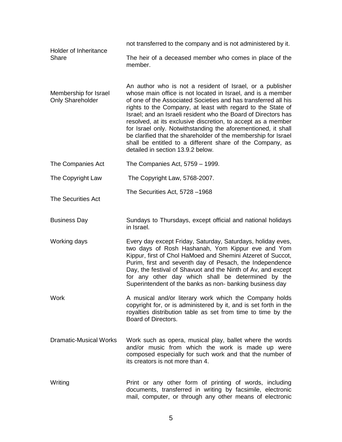| Holder of Inheritance<br>Share            | not transferred to the company and is not administered by it.                                                                                                                                                                                                                                                                                                                                                                                                                                                                                                                                                                    |
|-------------------------------------------|----------------------------------------------------------------------------------------------------------------------------------------------------------------------------------------------------------------------------------------------------------------------------------------------------------------------------------------------------------------------------------------------------------------------------------------------------------------------------------------------------------------------------------------------------------------------------------------------------------------------------------|
|                                           | The heir of a deceased member who comes in place of the<br>member.                                                                                                                                                                                                                                                                                                                                                                                                                                                                                                                                                               |
| Membership for Israel<br>Only Shareholder | An author who is not a resident of Israel, or a publisher<br>whose main office is not located in Israel, and is a member<br>of one of the Associated Societies and has transferred all his<br>rights to the Company, at least with regard to the State of<br>Israel; and an Israeli resident who the Board of Directors has<br>resolved, at its exclusive discretion, to accept as a member<br>for Israel only. Notwithstanding the aforementioned, it shall<br>be clarified that the shareholder of the membership for Israel<br>shall be entitled to a different share of the Company, as<br>detailed in section 13.9.2 below. |
| The Companies Act                         | The Companies Act, 5759 - 1999.                                                                                                                                                                                                                                                                                                                                                                                                                                                                                                                                                                                                  |
| The Copyright Law                         | The Copyright Law, 5768-2007.                                                                                                                                                                                                                                                                                                                                                                                                                                                                                                                                                                                                    |
| <b>The Securities Act</b>                 | The Securities Act, 5728 -1968                                                                                                                                                                                                                                                                                                                                                                                                                                                                                                                                                                                                   |
| <b>Business Day</b>                       | Sundays to Thursdays, except official and national holidays<br>in Israel.                                                                                                                                                                                                                                                                                                                                                                                                                                                                                                                                                        |
| Working days                              | Every day except Friday, Saturday, Saturdays, holiday eves,<br>two days of Rosh Hashanah, Yom Kippur eve and Yom<br>Kippur, first of Chol HaMoed and Shemini Atzeret of Succot,<br>Purim, first and seventh day of Pesach, the Independence<br>Day, the festival of Shavuot and the Ninth of Av, and except<br>for any other day which shall be determined by the<br>Superintendent of the banks as non-banking business day                                                                                                                                                                                                     |
| Work                                      | A musical and/or literary work which the Company holds<br>copyright for, or is administered by it, and is set forth in the<br>royalties distribution table as set from time to time by the<br>Board of Directors.                                                                                                                                                                                                                                                                                                                                                                                                                |
| <b>Dramatic-Musical Works</b>             | Work such as opera, musical play, ballet where the words<br>and/or music from which the work is made up were<br>composed especially for such work and that the number of<br>its creators is not more than 4.                                                                                                                                                                                                                                                                                                                                                                                                                     |
| Writing                                   | Print or any other form of printing of words, including<br>documents, transferred in writing by facsimile, electronic<br>mail, computer, or through any other means of electronic                                                                                                                                                                                                                                                                                                                                                                                                                                                |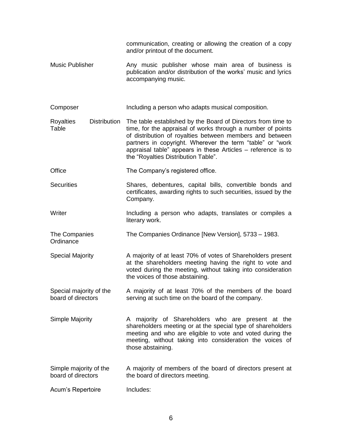|                                               | communication, creating or allowing the creation of a copy<br>and/or printout of the document.                                                                                                                                                                                                                                                              |
|-----------------------------------------------|-------------------------------------------------------------------------------------------------------------------------------------------------------------------------------------------------------------------------------------------------------------------------------------------------------------------------------------------------------------|
| <b>Music Publisher</b>                        | Any music publisher whose main area of business is<br>publication and/or distribution of the works' music and lyrics<br>accompanying music.                                                                                                                                                                                                                 |
| Composer                                      | Including a person who adapts musical composition.                                                                                                                                                                                                                                                                                                          |
| Distribution<br><b>Royalties</b><br>Table     | The table established by the Board of Directors from time to<br>time, for the appraisal of works through a number of points<br>of distribution of royalties between members and between<br>partners in copyright. Wherever the term "table" or "work<br>appraisal table" appears in these Articles – reference is to<br>the "Royalties Distribution Table". |
| Office                                        | The Company's registered office.                                                                                                                                                                                                                                                                                                                            |
| <b>Securities</b>                             | Shares, debentures, capital bills, convertible bonds and<br>certificates, awarding rights to such securities, issued by the<br>Company.                                                                                                                                                                                                                     |
| Writer                                        | Including a person who adapts, translates or compiles a<br>literary work.                                                                                                                                                                                                                                                                                   |
| The Companies<br>Ordinance                    | The Companies Ordinance [New Version], 5733 - 1983.                                                                                                                                                                                                                                                                                                         |
| <b>Special Majority</b>                       | A majority of at least 70% of votes of Shareholders present<br>at the shareholders meeting having the right to vote and<br>voted during the meeting, without taking into consideration<br>the voices of those abstaining.                                                                                                                                   |
| Special majority of the<br>board of directors | A majority of at least 70% of the members of the board<br>serving at such time on the board of the company.                                                                                                                                                                                                                                                 |
| Simple Majority                               | A majority of Shareholders who are present at the<br>shareholders meeting or at the special type of shareholders<br>meeting and who are eligible to vote and voted during the<br>meeting, without taking into consideration the voices of<br>those abstaining.                                                                                              |
| Simple majority of the<br>board of directors  | A majority of members of the board of directors present at<br>the board of directors meeting.                                                                                                                                                                                                                                                               |
| Acum's Repertoire                             | Includes:                                                                                                                                                                                                                                                                                                                                                   |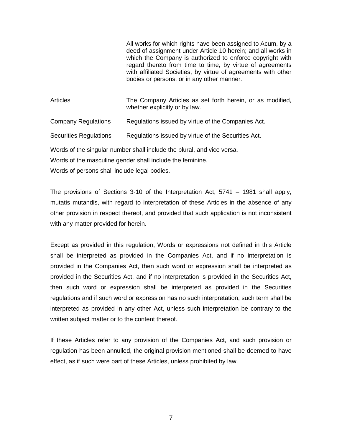All works for which rights have been assigned to Acum, by a deed of assignment under Article 10 herein; and all works in which the Company is authorized to enforce copyright with regard thereto from time to time, by virtue of agreements with affiliated Societies, by virtue of agreements with other bodies or persons, or in any other manner.

Articles The Company Articles as set forth herein, or as modified, whether explicitly or by law.

Company Regulations Regulations issued by virtue of the Companies Act.

Securities Regulations Regulations issued by virtue of the Securities Act.

Words of the singular number shall include the plural, and vice versa.

Words of the masculine gender shall include the feminine.

Words of persons shall include legal bodies.

The provisions of Sections 3-10 of the Interpretation Act, 5741 – 1981 shall apply, mutatis mutandis, with regard to interpretation of these Articles in the absence of any other provision in respect thereof, and provided that such application is not inconsistent with any matter provided for herein.

Except as provided in this regulation, Words or expressions not defined in this Article shall be interpreted as provided in the Companies Act, and if no interpretation is provided in the Companies Act, then such word or expression shall be interpreted as provided in the Securities Act, and if no interpretation is provided in the Securities Act, then such word or expression shall be interpreted as provided in the Securities regulations and if such word or expression has no such interpretation, such term shall be interpreted as provided in any other Act, unless such interpretation be contrary to the written subject matter or to the content thereof.

If these Articles refer to any provision of the Companies Act, and such provision or regulation has been annulled, the original provision mentioned shall be deemed to have effect, as if such were part of these Articles, unless prohibited by law.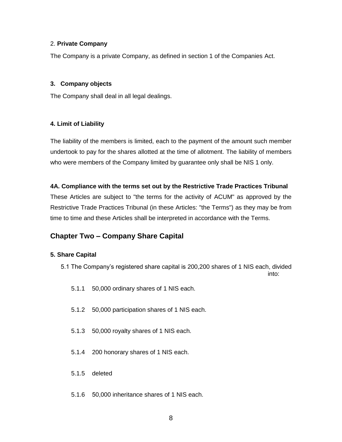# <span id="page-7-0"></span>2. **Private Company**

The Company is a private Company, as defined in section 1 of the Companies Act.

# <span id="page-7-1"></span>**3. Company objects**

The Company shall deal in all legal dealings.

# <span id="page-7-2"></span>**4. Limit of Liability**

The liability of the members is limited, each to the payment of the amount such member undertook to pay for the shares allotted at the time of allotment. The liability of members who were members of the Company limited by guarantee only shall be NIS 1 only.

# **4A. Compliance with the terms set out by the Restrictive Trade Practices Tribunal**

These Articles are subject to "the terms for the activity of ACUM" as approved by the Restrictive Trade Practices Tribunal (in these Articles: "the Terms") as they may be from time to time and these Articles shall be interpreted in accordance with the Terms.

# **Chapter Two – Company Share Capital**

# <span id="page-7-3"></span>**5. Share Capital**

- 5.1 The Company's registered share capital is 200,200 shares of 1 NIS each, divided into:
	- 5.1.1 50,000 ordinary shares of 1 NIS each.
	- 5.1.2 50,000 participation shares of 1 NIS each.
	- 5.1.3 50,000 royalty shares of 1 NIS each.
	- 5.1.4 200 honorary shares of 1 NIS each.
	- 5.1.5 deleted
	- 5.1.6 50,000 inheritance shares of 1 NIS each.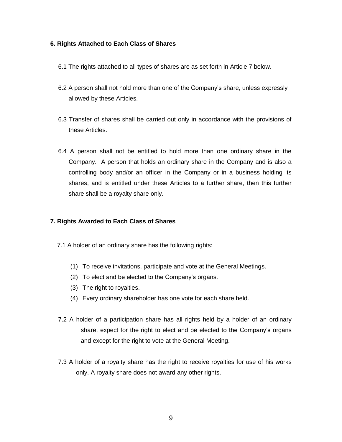# <span id="page-8-0"></span>**6. Rights Attached to Each Class of Shares**

- 6.1 The rights attached to all types of shares are as set forth in Article 7 below.
- 6.2 A person shall not hold more than one of the Company's share, unless expressly allowed by these Articles.
- 6.3 Transfer of shares shall be carried out only in accordance with the provisions of these Articles.
- 6.4 A person shall not be entitled to hold more than one ordinary share in the Company. A person that holds an ordinary share in the Company and is also a controlling body and/or an officer in the Company or in a business holding its shares, and is entitled under these Articles to a further share, then this further share shall be a royalty share only.

# <span id="page-8-1"></span>**7. Rights Awarded to Each Class of Shares**

- 7.1 A holder of an ordinary share has the following rights:
	- (1) To receive invitations, participate and vote at the General Meetings.
	- (2) To elect and be elected to the Company's organs.
	- (3) The right to royalties.
	- (4) Every ordinary shareholder has one vote for each share held.
- 7.2 A holder of a participation share has all rights held by a holder of an ordinary share, expect for the right to elect and be elected to the Company's organs and except for the right to vote at the General Meeting.
- 7.3 A holder of a royalty share has the right to receive royalties for use of his works only. A royalty share does not award any other rights.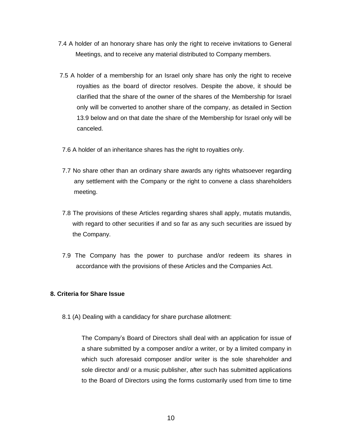- 7.4 A holder of an honorary share has only the right to receive invitations to General Meetings, and to receive any material distributed to Company members.
- 7.5 A holder of a membership for an Israel only share has only the right to receive royalties as the board of director resolves. Despite the above, it should be clarified that the share of the owner of the shares of the Membership for Israel only will be converted to another share of the company, as detailed in Section 13.9 below and on that date the share of the Membership for Israel only will be canceled.
- 7.6 A holder of an inheritance shares has the right to royalties only.
- 7.7 No share other than an ordinary share awards any rights whatsoever regarding any settlement with the Company or the right to convene a class shareholders meeting.
- 7.8 The provisions of these Articles regarding shares shall apply, mutatis mutandis, with regard to other securities if and so far as any such securities are issued by the Company.
- 7.9 The Company has the power to purchase and/or redeem its shares in accordance with the provisions of these Articles and the Companies Act.

# <span id="page-9-0"></span>**8. Criteria for Share Issue**

8.1 (A) Dealing with a candidacy for share purchase allotment:

The Company's Board of Directors shall deal with an application for issue of a share submitted by a composer and/or a writer, or by a limited company in which such aforesaid composer and/or writer is the sole shareholder and sole director and/ or a music publisher, after such has submitted applications to the Board of Directors using the forms customarily used from time to time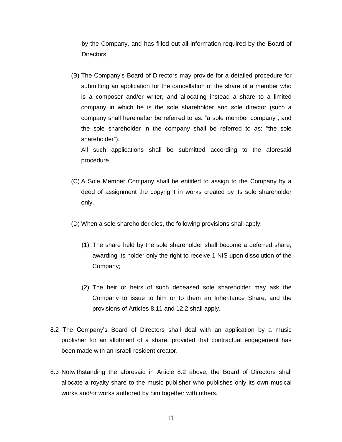by the Company, and has filled out all information required by the Board of Directors.

(B) The Company's Board of Directors may provide for a detailed procedure for submitting an application for the cancellation of the share of a member who is a composer and/or writer, and allocating instead a share to a limited company in which he is the sole shareholder and sole director (such a company shall hereinafter be referred to as: "a sole member company", and the sole shareholder in the company shall be referred to as: "the sole shareholder").

All such applications shall be submitted according to the aforesaid procedure.

- (C) A Sole Member Company shall be entitled to assign to the Company by a deed of assignment the copyright in works created by its sole shareholder only.
- (D) When a sole shareholder dies, the following provisions shall apply:
	- (1) The share held by the sole shareholder shall become a deferred share, awarding its holder only the right to receive 1 NIS upon dissolution of the Company;
	- (2) The heir or heirs of such deceased sole shareholder may ask the Company to issue to him or to them an Inheritance Share, and the provisions of Articles 8.11 and 12.2 shall apply.
- 8.2 The Company's Board of Directors shall deal with an application by a music publisher for an allotment of a share, provided that contractual engagement has been made with an Israeli resident creator.
- 8.3 Notwithstanding the aforesaid in Article 8.2 above, the Board of Directors shall allocate a royalty share to the music publisher who publishes only its own musical works and/or works authored by him together with others.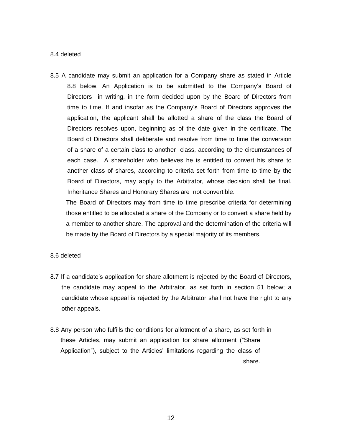#### 8.4 deleted

8.5 A candidate may submit an application for a Company share as stated in Article 8.8 below. An Application is to be submitted to the Company's Board of Directors in writing, in the form decided upon by the Board of Directors from time to time. If and insofar as the Company's Board of Directors approves the application, the applicant shall be allotted a share of the class the Board of Directors resolves upon, beginning as of the date given in the certificate. The Board of Directors shall deliberate and resolve from time to time the conversion of a share of a certain class to another class, according to the circumstances of each case. A shareholder who believes he is entitled to convert his share to another class of shares, according to criteria set forth from time to time by the Board of Directors, may apply to the Arbitrator, whose decision shall be final. Inheritance Shares and Honorary Shares are not convertible.

The Board of Directors may from time to time prescribe criteria for determining those entitled to be allocated a share of the Company or to convert a share held by a member to another share. The approval and the determination of the criteria will be made by the Board of Directors by a special majority of its members.

#### 8.6 deleted

- 8.7 If a candidate's application for share allotment is rejected by the Board of Directors, the candidate may appeal to the Arbitrator, as set forth in section 51 below; a candidate whose appeal is rejected by the Arbitrator shall not have the right to any other appeals.
- 8.8 Any person who fulfills the conditions for allotment of a share, as set forth in these Articles, may submit an application for share allotment ("Share Application"), subject to the Articles' limitations regarding the class of share.

12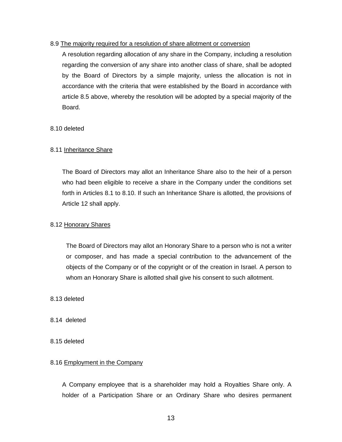# 8.9 The majority required for a resolution of share allotment or conversion

A resolution regarding allocation of any share in the Company, including a resolution regarding the conversion of any share into another class of share, shall be adopted by the Board of Directors by a simple majority, unless the allocation is not in accordance with the criteria that were established by the Board in accordance with article 8.5 above, whereby the resolution will be adopted by a special majority of the Board.

# 8.10 deleted

# 8.11 Inheritance Share

The Board of Directors may allot an Inheritance Share also to the heir of a person who had been eligible to receive a share in the Company under the conditions set forth in Articles 8.1 to 8.10. If such an Inheritance Share is allotted, the provisions of Article 12 shall apply.

# 8.12 Honorary Shares

The Board of Directors may allot an Honorary Share to a person who is not a writer or composer, and has made a special contribution to the advancement of the objects of the Company or of the copyright or of the creation in Israel. A person to whom an Honorary Share is allotted shall give his consent to such allotment.

# 8.13 deleted

- 8.14 deleted
- 8.15 deleted

#### 8.16 Employment in the Company

A Company employee that is a shareholder may hold a Royalties Share only. A holder of a Participation Share or an Ordinary Share who desires permanent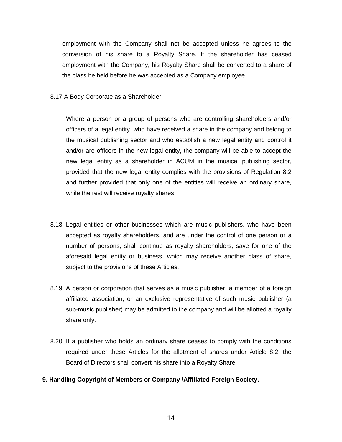employment with the Company shall not be accepted unless he agrees to the conversion of his share to a Royalty Share. If the shareholder has ceased employment with the Company, his Royalty Share shall be converted to a share of the class he held before he was accepted as a Company employee.

#### 8.17 A Body Corporate as a Shareholder

Where a person or a group of persons who are controlling shareholders and/or officers of a legal entity, who have received a share in the company and belong to the musical publishing sector and who establish a new legal entity and control it and/or are officers in the new legal entity, the company will be able to accept the new legal entity as a shareholder in ACUM in the musical publishing sector, provided that the new legal entity complies with the provisions of Regulation 8.2 and further provided that only one of the entities will receive an ordinary share, while the rest will receive royalty shares.

- 8.18 Legal entities or other businesses which are music publishers, who have been accepted as royalty shareholders, and are under the control of one person or a number of persons, shall continue as royalty shareholders, save for one of the aforesaid legal entity or business, which may receive another class of share, subject to the provisions of these Articles.
- 8.19 A person or corporation that serves as a music publisher, a member of a foreign affiliated association, or an exclusive representative of such music publisher (a sub-music publisher) may be admitted to the company and will be allotted a royalty share only.
- 8.20 If a publisher who holds an ordinary share ceases to comply with the conditions required under these Articles for the allotment of shares under Article 8.2, the Board of Directors shall convert his share into a Royalty Share.
- <span id="page-13-0"></span>**9. Handling Copyright of Members or Company /Affiliated Foreign Society.**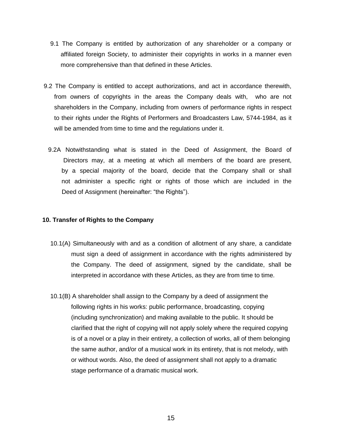- 9.1 The Company is entitled by authorization of any shareholder or a company or affiliated foreign Society, to administer their copyrights in works in a manner even more comprehensive than that defined in these Articles.
- 9.2 The Company is entitled to accept authorizations, and act in accordance therewith, from owners of copyrights in the areas the Company deals with, who are not shareholders in the Company, including from owners of performance rights in respect to their rights under the Rights of Performers and Broadcasters Law, 5744-1984, as it will be amended from time to time and the regulations under it.
	- 9.2A Notwithstanding what is stated in the Deed of Assignment, the Board of Directors may, at a meeting at which all members of the board are present, by a special majority of the board, decide that the Company shall or shall not administer a specific right or rights of those which are included in the Deed of Assignment (hereinafter: "the Rights").

#### <span id="page-14-0"></span>**10. Transfer of Rights to the Company**

- 10.1(A) Simultaneously with and as a condition of allotment of any share, a candidate must sign a deed of assignment in accordance with the rights administered by the Company. The deed of assignment, signed by the candidate, shall be interpreted in accordance with these Articles, as they are from time to time.
- 10.1(B) A shareholder shall assign to the Company by a deed of assignment the following rights in his works: public performance, broadcasting, copying (including synchronization) and making available to the public. It should be clarified that the right of copying will not apply solely where the required copying is of a novel or a play in their entirety, a collection of works, all of them belonging the same author, and/or of a musical work in its entirety, that is not melody, with or without words. Also, the deed of assignment shall not apply to a dramatic stage performance of a dramatic musical work.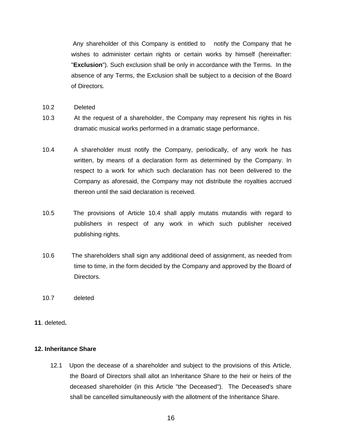Any shareholder of this Company is entitled to notify the Company that he wishes to administer certain rights or certain works by himself (hereinafter: "**Exclusion**"). Such exclusion shall be only in accordance with the Terms. In the absence of any Terms, the Exclusion shall be subject to a decision of the Board of Directors.

- 10.2 Deleted
- 10.3 At the request of a shareholder, the Company may represent his rights in his dramatic musical works performed in a dramatic stage performance.
- 10.4 A shareholder must notify the Company, periodically, of any work he has written, by means of a declaration form as determined by the Company. In respect to a work for which such declaration has not been delivered to the Company as aforesaid, the Company may not distribute the royalties accrued thereon until the said declaration is received.
- 10.5 The provisions of Article 10.4 shall apply mutatis mutandis with regard to publishers in respect of any work in which such publisher received publishing rights.
- 10.6 The shareholders shall sign any additional deed of assignment, as needed from time to time, in the form decided by the Company and approved by the Board of Directors.
- 10.7 deleted
- **11**. deleted**.**

#### <span id="page-15-0"></span>**12. Inheritance Share**

12.1 Upon the decease of a shareholder and subject to the provisions of this Article, the Board of Directors shall allot an Inheritance Share to the heir or heirs of the deceased shareholder (in this Article "the Deceased"). The Deceased's share shall be cancelled simultaneously with the allotment of the Inheritance Share.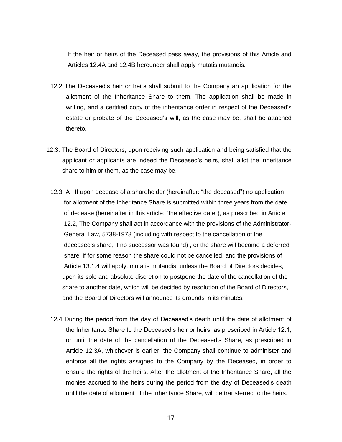If the heir or heirs of the Deceased pass away, the provisions of this Article and Articles 12.4A and 12.4B hereunder shall apply mutatis mutandis.

- 12.2 The Deceased's heir or heirs shall submit to the Company an application for the allotment of the Inheritance Share to them. The application shall be made in writing, and a certified copy of the inheritance order in respect of the Deceased's estate or probate of the Deceased's will, as the case may be, shall be attached thereto.
- 12.3. The Board of Directors, upon receiving such application and being satisfied that the applicant or applicants are indeed the Deceased's heirs, shall allot the inheritance share to him or them, as the case may be.
	- 12.3. A If upon decease of a shareholder (hereinafter: "the deceased") no application for allotment of the Inheritance Share is submitted within three years from the date of decease (hereinafter in this article: "the effective date"), as prescribed in Article 12.2, The Company shall act in accordance with the provisions of the Administrator- General Law, 5738-1978 (including with respect to the cancellation of the deceased's share, if no successor was found) , or the share will become a deferred share, if for some reason the share could not be cancelled, and the provisions of Article 13.1.4 will apply, mutatis mutandis, unless the Board of Directors decides, upon its sole and absolute discretion to postpone the date of the cancellation of the share to another date, which will be decided by resolution of the Board of Directors, and the Board of Directors will announce its grounds in its minutes.
	- 12.4 During the period from the day of Deceased's death until the date of allotment of the Inheritance Share to the Deceased's heir or heirs, as prescribed in Article 12.1, or until the date of the cancellation of the Deceased's Share, as prescribed in Article 12.3A, whichever is earlier, the Company shall continue to administer and enforce all the rights assigned to the Company by the Deceased, in order to ensure the rights of the heirs. After the allotment of the Inheritance Share, all the monies accrued to the heirs during the period from the day of Deceased's death until the date of allotment of the Inheritance Share, will be transferred to the heirs.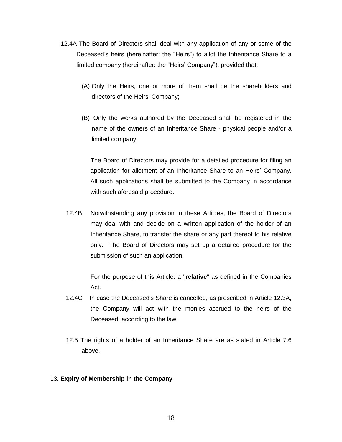- 12.4A The Board of Directors shall deal with any application of any or some of the Deceased's heirs (hereinafter: the "Heirs") to allot the Inheritance Share to a limited company (hereinafter: the "Heirs' Company"), provided that:
	- (A) Only the Heirs, one or more of them shall be the shareholders and directors of the Heirs' Company;
	- (B) Only the works authored by the Deceased shall be registered in the name of the owners of an Inheritance Share - physical people and/or a limited company.

The Board of Directors may provide for a detailed procedure for filing an application for allotment of an Inheritance Share to an Heirs' Company. All such applications shall be submitted to the Company in accordance with such aforesaid procedure.

12.4B Notwithstanding any provision in these Articles, the Board of Directors may deal with and decide on a written application of the holder of an Inheritance Share, to transfer the share or any part thereof to his relative only. The Board of Directors may set up a detailed procedure for the submission of such an application.

> For the purpose of this Article: a "**relative**" as defined in the Companies Act.

- 12.4C In case the Deceased's Share is cancelled, as prescribed in Article 12.3A, the Company will act with the monies accrued to the heirs of the Deceased, according to the law.
- 12.5 The rights of a holder of an Inheritance Share are as stated in Article 7.6 above.

#### <span id="page-17-0"></span>1**3. Expiry of Membership in the Company**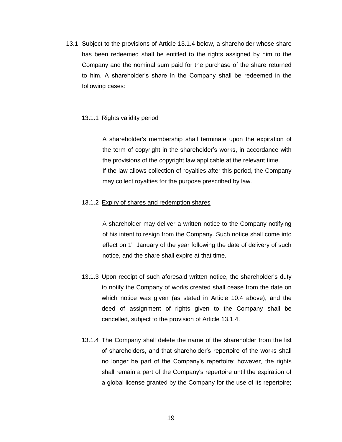13.1 Subject to the provisions of Article 13.1.4 below, a shareholder whose share has been redeemed shall be entitled to the rights assigned by him to the Company and the nominal sum paid for the purchase of the share returned to him. A shareholder's share in the Company shall be redeemed in the following cases:

#### 13.1.1 Rights validity period

A shareholder's membership shall terminate upon the expiration of the term of copyright in the shareholder's works, in accordance with the provisions of the copyright law applicable at the relevant time. If the law allows collection of royalties after this period, the Company may collect royalties for the purpose prescribed by law.

# 13.1.2 Expiry of shares and redemption shares

A shareholder may deliver a written notice to the Company notifying of his intent to resign from the Company. Such notice shall come into effect on 1<sup>st</sup> January of the year following the date of delivery of such notice, and the share shall expire at that time.

- 13.1.3 Upon receipt of such aforesaid written notice, the shareholder's duty to notify the Company of works created shall cease from the date on which notice was given (as stated in Article 10.4 above), and the deed of assignment of rights given to the Company shall be cancelled, subject to the provision of Article 13.1.4.
- 13.1.4 The Company shall delete the name of the shareholder from the list of shareholders, and that shareholder's repertoire of the works shall no longer be part of the Company's repertoire; however, the rights shall remain a part of the Company's repertoire until the expiration of a global license granted by the Company for the use of its repertoire;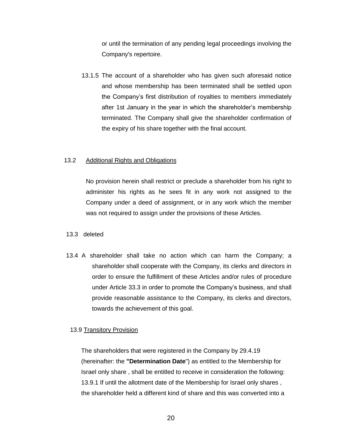or until the termination of any pending legal proceedings involving the Company's repertoire.

13.1.5 The account of a shareholder who has given such aforesaid notice and whose membership has been terminated shall be settled upon the Company's first distribution of royalties to members immediately after 1st January in the year in which the shareholder's membership terminated. The Company shall give the shareholder confirmation of the expiry of his share together with the final account.

#### 13.2 Additional Rights and Obligations

No provision herein shall restrict or preclude a shareholder from his right to administer his rights as he sees fit in any work not assigned to the Company under a deed of assignment, or in any work which the member was not required to assign under the provisions of these Articles.

#### 13.3 deleted

13.4 A shareholder shall take no action which can harm the Company; a shareholder shall cooperate with the Company, its clerks and directors in order to ensure the fulfillment of these Articles and/or rules of procedure under Article 33.3 in order to promote the Company's business, and shall provide reasonable assistance to the Company, its clerks and directors, towards the achievement of this goal.

#### 13.9 Transitory Provision

The shareholders that were registered in the Company by 29.4.19 (hereinafter: the **"Determination Date**") as entitled to the Membership for Israel only share , shall be entitled to receive in consideration the following: 13.9.1 If until the allotment date of the Membership for Israel only shares , the shareholder held a different kind of share and this was converted into a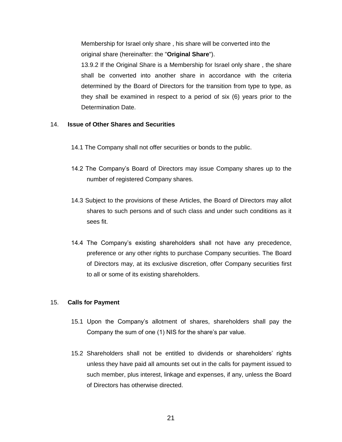Membership for Israel only share , his share will be converted into the original share (hereinafter: the "**Original Share**").

13.9.2 If the Original Share is a Membership for Israel only share , the share shall be converted into another share in accordance with the criteria determined by the Board of Directors for the transition from type to type, as they shall be examined in respect to a period of six (6) years prior to the Determination Date.

# <span id="page-20-0"></span>14. **Issue of Other Shares and Securities**

- 14.1 The Company shall not offer securities or bonds to the public.
- 14.2 The Company's Board of Directors may issue Company shares up to the number of registered Company shares.
- 14.3 Subject to the provisions of these Articles, the Board of Directors may allot shares to such persons and of such class and under such conditions as it sees fit.
- 14.4 The Company's existing shareholders shall not have any precedence, preference or any other rights to purchase Company securities. The Board of Directors may, at its exclusive discretion, offer Company securities first to all or some of its existing shareholders.

# <span id="page-20-1"></span>15. **Calls for Payment**

- 15.1 Upon the Company's allotment of shares, shareholders shall pay the Company the sum of one (1) NIS for the share's par value.
- 15.2 Shareholders shall not be entitled to dividends or shareholders' rights unless they have paid all amounts set out in the calls for payment issued to such member, plus interest, linkage and expenses, if any, unless the Board of Directors has otherwise directed.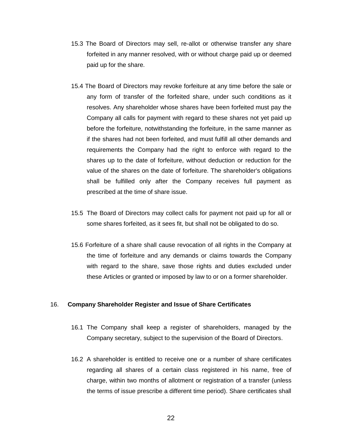- 15.3 The Board of Directors may sell, re-allot or otherwise transfer any share forfeited in any manner resolved, with or without charge paid up or deemed paid up for the share.
- 15.4 The Board of Directors may revoke forfeiture at any time before the sale or any form of transfer of the forfeited share, under such conditions as it resolves. Any shareholder whose shares have been forfeited must pay the Company all calls for payment with regard to these shares not yet paid up before the forfeiture, notwithstanding the forfeiture, in the same manner as if the shares had not been forfeited, and must fulfill all other demands and requirements the Company had the right to enforce with regard to the shares up to the date of forfeiture, without deduction or reduction for the value of the shares on the date of forfeiture. The shareholder's obligations shall be fulfilled only after the Company receives full payment as prescribed at the time of share issue.
- 15.5 The Board of Directors may collect calls for payment not paid up for all or some shares forfeited, as it sees fit, but shall not be obligated to do so.
- 15.6 Forfeiture of a share shall cause revocation of all rights in the Company at the time of forfeiture and any demands or claims towards the Company with regard to the share, save those rights and duties excluded under these Articles or granted or imposed by law to or on a former shareholder.

#### <span id="page-21-0"></span>16. **Company Shareholder Register and Issue of Share Certificates**

- 16.1 The Company shall keep a register of shareholders, managed by the Company secretary, subject to the supervision of the Board of Directors.
- 16.2 A shareholder is entitled to receive one or a number of share certificates regarding all shares of a certain class registered in his name, free of charge, within two months of allotment or registration of a transfer (unless the terms of issue prescribe a different time period). Share certificates shall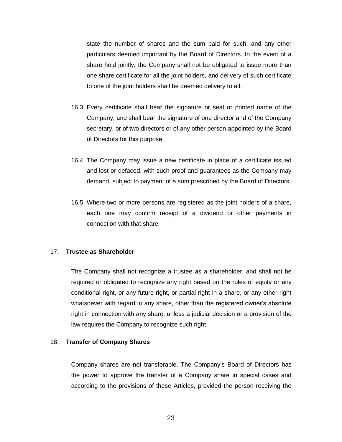state the number of shares and the sum paid for such, and any other particulars deemed important by the Board of Directors. In the event of a share held jointly, the Company shall not be obligated to issue more than one share certificate for all the joint holders, and delivery of such certificate to one of the joint holders shall be deemed delivery to all.

- 16.3 Every certificate shall bear the signature or seal or printed name of the Company, and shall bear the signature of one director and of the Company secretary, or of two directors or of any other person appointed by the Board of Directors for this purpose.
- 16.4 The Company may issue a new certificate in place of a certificate issued and lost or defaced, with such proof and guarantees as the Company may demand, subject to payment of a sum prescribed by the Board of Directors.
- 16.5 Where two or more persons are registered as the joint holders of a share, each one may confirm receipt of a dividend or other payments in connection with that share.

#### <span id="page-22-0"></span>17. **Trustee as Shareholder**

The Company shall not recognize a trustee as a shareholder, and shall not be required or obligated to recognize any right based on the rules of equity or any conditional right, or any future right, or partial right in a share, or any other right whatsoever with regard to any share, other than the registered owner's absolute right in connection with any share, unless a judicial decision or a provision of the law requires the Company to recognize such right.

#### <span id="page-22-1"></span>18. **Transfer of Company Shares**

Company shares are not transferable. The Company's Board of Directors has the power to approve the transfer of a Company share in special cases and according to the provisions of these Articles, provided the person receiving the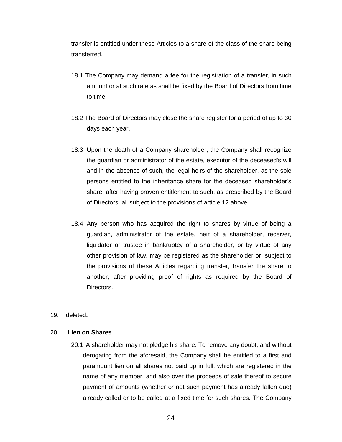transfer is entitled under these Articles to a share of the class of the share being transferred.

- 18.1 The Company may demand a fee for the registration of a transfer, in such amount or at such rate as shall be fixed by the Board of Directors from time to time.
- 18.2 The Board of Directors may close the share register for a period of up to 30 days each year.
- 18.3 Upon the death of a Company shareholder, the Company shall recognize the guardian or administrator of the estate, executor of the deceased's will and in the absence of such, the legal heirs of the shareholder, as the sole persons entitled to the inheritance share for the deceased shareholder's share, after having proven entitlement to such, as prescribed by the Board of Directors, all subject to the provisions of article 12 above.
- 18.4 Any person who has acquired the right to shares by virtue of being a guardian, administrator of the estate, heir of a shareholder, receiver, liquidator or trustee in bankruptcy of a shareholder, or by virtue of any other provision of law, may be registered as the shareholder or, subject to the provisions of these Articles regarding transfer, transfer the share to another, after providing proof of rights as required by the Board of Directors.
- 19. deleted**.**

#### <span id="page-23-0"></span>20. **Lien on Shares**

20.1 A shareholder may not pledge his share. To remove any doubt, and without derogating from the aforesaid, the Company shall be entitled to a first and paramount lien on all shares not paid up in full, which are registered in the name of any member, and also over the proceeds of sale thereof to secure payment of amounts (whether or not such payment has already fallen due) already called or to be called at a fixed time for such shares. The Company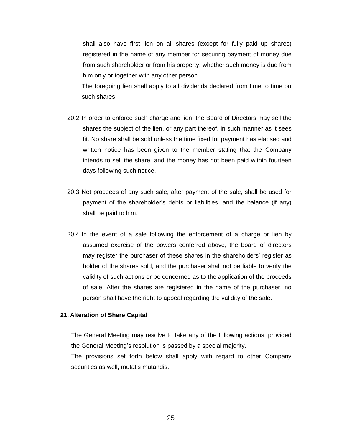shall also have first lien on all shares (except for fully paid up shares) registered in the name of any member for securing payment of money due from such shareholder or from his property, whether such money is due from him only or together with any other person.

The foregoing lien shall apply to all dividends declared from time to time on such shares.

- 20.2 In order to enforce such charge and lien, the Board of Directors may sell the shares the subject of the lien, or any part thereof, in such manner as it sees fit. No share shall be sold unless the time fixed for payment has elapsed and written notice has been given to the member stating that the Company intends to sell the share, and the money has not been paid within fourteen days following such notice.
- 20.3 Net proceeds of any such sale, after payment of the sale, shall be used for payment of the shareholder's debts or liabilities, and the balance (if any) shall be paid to him.
- 20.4 In the event of a sale following the enforcement of a charge or lien by assumed exercise of the powers conferred above, the board of directors may register the purchaser of these shares in the shareholders' register as holder of the shares sold, and the purchaser shall not be liable to verify the validity of such actions or be concerned as to the application of the proceeds of sale. After the shares are registered in the name of the purchaser, no person shall have the right to appeal regarding the validity of the sale.

#### <span id="page-24-0"></span>**21. Alteration of Share Capital**

The General Meeting may resolve to take any of the following actions, provided the General Meeting's resolution is passed by a special majority.

The provisions set forth below shall apply with regard to other Company securities as well, mutatis mutandis.

25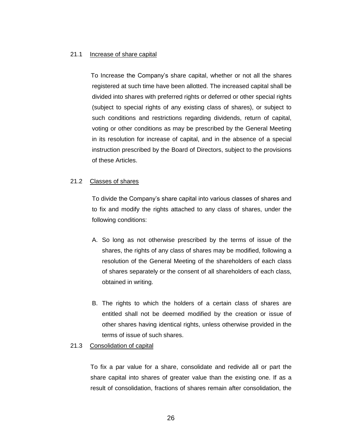#### 21.1 Increase of share capital

 To Increase the Company's share capital, whether or not all the shares registered at such time have been allotted. The increased capital shall be divided into shares with preferred rights or deferred or other special rights (subject to special rights of any existing class of shares), or subject to such conditions and restrictions regarding dividends, return of capital, voting or other conditions as may be prescribed by the General Meeting in its resolution for increase of capital, and in the absence of a special instruction prescribed by the Board of Directors, subject to the provisions of these Articles.

#### 21.2 Classes of shares

To divide the Company's share capital into various classes of shares and to fix and modify the rights attached to any class of shares, under the following conditions:

- A. So long as not otherwise prescribed by the terms of issue of the shares, the rights of any class of shares may be modified, following a resolution of the General Meeting of the shareholders of each class of shares separately or the consent of all shareholders of each class, obtained in writing.
- B. The rights to which the holders of a certain class of shares are entitled shall not be deemed modified by the creation or issue of other shares having identical rights, unless otherwise provided in the terms of issue of such shares.

#### 21.3 Consolidation of capital

To fix a par value for a share, consolidate and redivide all or part the share capital into shares of greater value than the existing one. If as a result of consolidation, fractions of shares remain after consolidation, the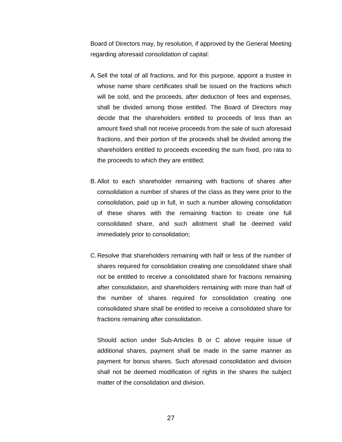Board of Directors may, by resolution, if approved by the General Meeting regarding aforesaid consolidation of capital:

- A.Sell the total of all fractions, and for this purpose, appoint a trustee in whose name share certificates shall be issued on the fractions which will be sold, and the proceeds, after deduction of fees and expenses, shall be divided among those entitled. The Board of Directors may decide that the shareholders entitled to proceeds of less than an amount fixed shall not receive proceeds from the sale of such aforesaid fractions, and their portion of the proceeds shall be divided among the shareholders entitled to proceeds exceeding the sum fixed, pro rata to the proceeds to which they are entitled;
- B.Allot to each shareholder remaining with fractions of shares after consolidation a number of shares of the class as they were prior to the consolidation, paid up in full, in such a number allowing consolidation of these shares with the remaining fraction to create one full consolidated share, and such allotment shall be deemed valid immediately prior to consolidation;
- C.Resolve that shareholders remaining with half or less of the number of shares required for consolidation creating one consolidated share shall not be entitled to receive a consolidated share for fractions remaining after consolidation, and shareholders remaining with more than half of the number of shares required for consolidation creating one consolidated share shall be entitled to receive a consolidated share for fractions remaining after consolidation.

Should action under Sub-Articles B or C above require issue of additional shares, payment shall be made in the same manner as payment for bonus shares. Such aforesaid consolidation and division shall not be deemed modification of rights in the shares the subject matter of the consolidation and division.

27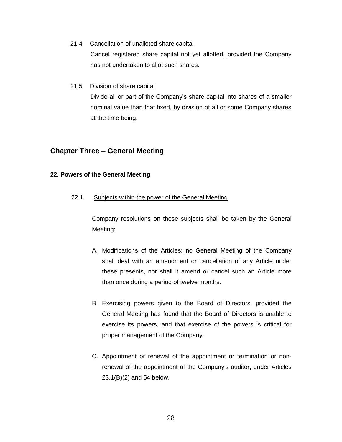21.4 Cancellation of unalloted share capital

Cancel registered share capital not yet allotted, provided the Company has not undertaken to allot such shares.

21.5 Division of share capital

Divide all or part of the Company's share capital into shares of a smaller nominal value than that fixed, by division of all or some Company shares at the time being.

# <span id="page-27-0"></span>**Chapter Three – General Meeting**

# <span id="page-27-1"></span>**22. Powers of the General Meeting**

22.1 Subjects within the power of the General Meeting

Company resolutions on these subjects shall be taken by the General Meeting:

- A. Modifications of the Articles: no General Meeting of the Company shall deal with an amendment or cancellation of any Article under these presents, nor shall it amend or cancel such an Article more than once during a period of twelve months.
- B. Exercising powers given to the Board of Directors, provided the General Meeting has found that the Board of Directors is unable to exercise its powers, and that exercise of the powers is critical for proper management of the Company.
- C. Appointment or renewal of the appointment or termination or nonrenewal of the appointment of the Company's auditor, under Articles 23.1(B)(2) and 54 below.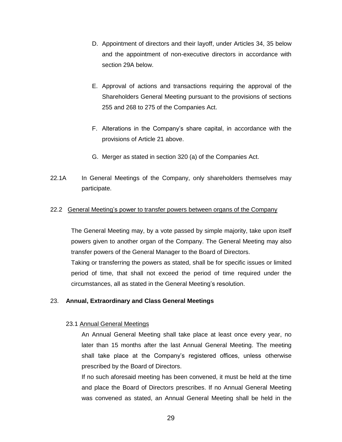- D. Appointment of directors and their layoff, under Articles 34, 35 below and the appointment of non-executive directors in accordance with section 29A below.
- E. Approval of actions and transactions requiring the approval of the Shareholders General Meeting pursuant to the provisions of sections 255 and 268 to 275 of the Companies Act.
- F. Alterations in the Company's share capital, in accordance with the provisions of Article 21 above.
- G. Merger as stated in section 320 (a) of the Companies Act.
- 22.1A In General Meetings of the Company, only shareholders themselves may participate.

# 22.2 General Meeting's power to transfer powers between organs of the Company

The General Meeting may, by a vote passed by simple majority, take upon itself powers given to another organ of the Company. The General Meeting may also transfer powers of the General Manager to the Board of Directors.

Taking or transferring the powers as stated, shall be for specific issues or limited period of time, that shall not exceed the period of time required under the circumstances, all as stated in the General Meeting's resolution.

# <span id="page-28-0"></span>23. **Annual, Extraordinary and Class General Meetings**

# 23.1 Annual General Meetings

An Annual General Meeting shall take place at least once every year, no later than 15 months after the last Annual General Meeting. The meeting shall take place at the Company's registered offices, unless otherwise prescribed by the Board of Directors.

If no such aforesaid meeting has been convened, it must be held at the time and place the Board of Directors prescribes. If no Annual General Meeting was convened as stated, an Annual General Meeting shall be held in the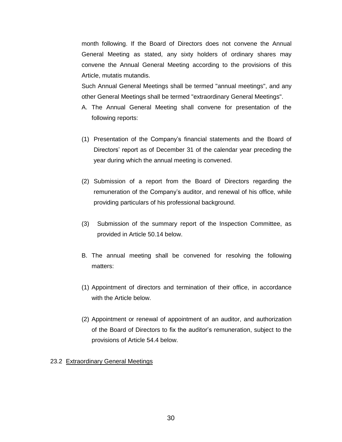month following. If the Board of Directors does not convene the Annual General Meeting as stated, any sixty holders of ordinary shares may convene the Annual General Meeting according to the provisions of this Article, mutatis mutandis.

Such Annual General Meetings shall be termed "annual meetings", and any other General Meetings shall be termed "extraordinary General Meetings".

- A. The Annual General Meeting shall convene for presentation of the following reports:
- (1) Presentation of the Company's financial statements and the Board of Directors' report as of December 31 of the calendar year preceding the year during which the annual meeting is convened.
- (2) Submission of a report from the Board of Directors regarding the remuneration of the Company's auditor, and renewal of his office, while providing particulars of his professional background.
- (3) Submission of the summary report of the Inspection Committee, as provided in Article 50.14 below.
- B. The annual meeting shall be convened for resolving the following matters:
- (1) Appointment of directors and termination of their office, in accordance with the Article below.
- (2) Appointment or renewal of appointment of an auditor, and authorization of the Board of Directors to fix the auditor's remuneration, subject to the provisions of Article 54.4 below.

# 23.2 Extraordinary General Meetings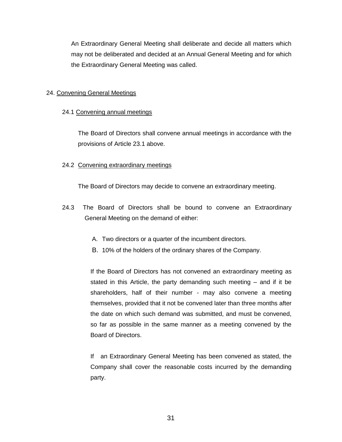An Extraordinary General Meeting shall deliberate and decide all matters which may not be deliberated and decided at an Annual General Meeting and for which the Extraordinary General Meeting was called.

# <span id="page-30-0"></span>24. Convening General Meetings

# 24.1 Convening annual meetings

The Board of Directors shall convene annual meetings in accordance with the provisions of Article 23.1 above.

# 24.2 Convening extraordinary meetings

The Board of Directors may decide to convene an extraordinary meeting.

- 24.3 The Board of Directors shall be bound to convene an Extraordinary General Meeting on the demand of either:
	- A. Two directors or a quarter of the incumbent directors.
	- B. 10% of the holders of the ordinary shares of the Company.

If the Board of Directors has not convened an extraordinary meeting as stated in this Article, the party demanding such meeting – and if it be shareholders, half of their number - may also convene a meeting themselves, provided that it not be convened later than three months after the date on which such demand was submitted, and must be convened, so far as possible in the same manner as a meeting convened by the Board of Directors.

If an Extraordinary General Meeting has been convened as stated, the Company shall cover the reasonable costs incurred by the demanding party.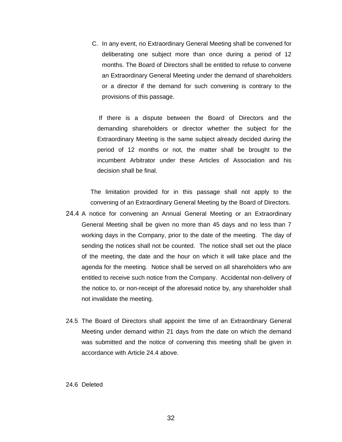C. In any event, no Extraordinary General Meeting shall be convened for deliberating one subject more than once during a period of 12 months. The Board of Directors shall be entitled to refuse to convene an Extraordinary General Meeting under the demand of shareholders or a director if the demand for such convening is contrary to the provisions of this passage.

If there is a dispute between the Board of Directors and the demanding shareholders or director whether the subject for the Extraordinary Meeting is the same subject already decided during the period of 12 months or not, the matter shall be brought to the incumbent Arbitrator under these Articles of Association and his decision shall be final.

The limitation provided for in this passage shall not apply to the convening of an Extraordinary General Meeting by the Board of Directors.

- 24.4 A notice for convening an Annual General Meeting or an Extraordinary General Meeting shall be given no more than 45 days and no less than 7 working days in the Company, prior to the date of the meeting. The day of sending the notices shall not be counted. The notice shall set out the place of the meeting, the date and the hour on which it will take place and the agenda for the meeting. Notice shall be served on all shareholders who are entitled to receive such notice from the Company. Accidental non-delivery of the notice to, or non-receipt of the aforesaid notice by, any shareholder shall not invalidate the meeting.
- 24.5 The Board of Directors shall appoint the time of an Extraordinary General Meeting under demand within 21 days from the date on which the demand was submitted and the notice of convening this meeting shall be given in accordance with Article 24.4 above.

#### 24.6 Deleted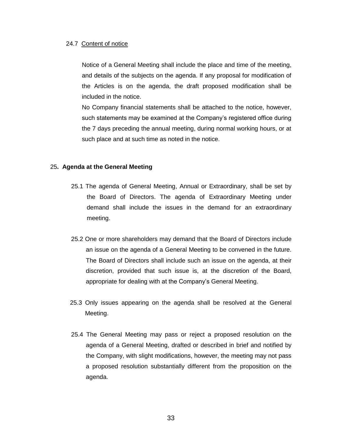#### 24.7 Content of notice

Notice of a General Meeting shall include the place and time of the meeting, and details of the subjects on the agenda. If any proposal for modification of the Articles is on the agenda, the draft proposed modification shall be included in the notice.

No Company financial statements shall be attached to the notice, however, such statements may be examined at the Company's registered office during the 7 days preceding the annual meeting, during normal working hours, or at such place and at such time as noted in the notice.

#### <span id="page-32-0"></span>25**. Agenda at the General Meeting**

- 25.1 The agenda of General Meeting, Annual or Extraordinary, shall be set by the Board of Directors. The agenda of Extraordinary Meeting under demand shall include the issues in the demand for an extraordinary meeting.
- 25.2 One or more shareholders may demand that the Board of Directors include an issue on the agenda of a General Meeting to be convened in the future. The Board of Directors shall include such an issue on the agenda, at their discretion, provided that such issue is, at the discretion of the Board, appropriate for dealing with at the Company's General Meeting.
- 25.3 Only issues appearing on the agenda shall be resolved at the General Meeting.
- 25.4 The General Meeting may pass or reject a proposed resolution on the agenda of a General Meeting, drafted or described in brief and notified by the Company, with slight modifications, however, the meeting may not pass a proposed resolution substantially different from the proposition on the agenda.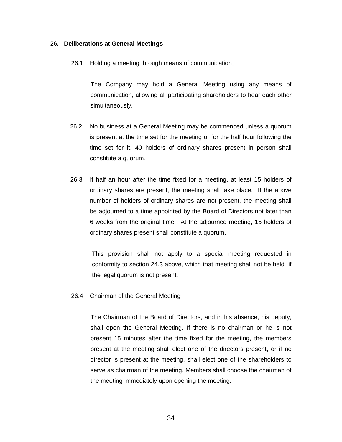#### <span id="page-33-0"></span>26**. Deliberations at General Meetings**

#### 26.1 Holding a meeting through means of communication

The Company may hold a General Meeting using any means of communication, allowing all participating shareholders to hear each other simultaneously.

- 26.2 No business at a General Meeting may be commenced unless a quorum is present at the time set for the meeting or for the half hour following the time set for it. 40 holders of ordinary shares present in person shall constitute a quorum.
- 26.3 If half an hour after the time fixed for a meeting, at least 15 holders of ordinary shares are present, the meeting shall take place. If the above number of holders of ordinary shares are not present, the meeting shall be adjourned to a time appointed by the Board of Directors not later than 6 weeks from the original time. At the adjourned meeting, 15 holders of ordinary shares present shall constitute a quorum.

This provision shall not apply to a special meeting requested in conformity to section 24.3 above, which that meeting shall not be held if the legal quorum is not present.

#### 26.4 Chairman of the General Meeting

The Chairman of the Board of Directors, and in his absence, his deputy, shall open the General Meeting. If there is no chairman or he is not present 15 minutes after the time fixed for the meeting, the members present at the meeting shall elect one of the directors present, or if no director is present at the meeting, shall elect one of the shareholders to serve as chairman of the meeting. Members shall choose the chairman of the meeting immediately upon opening the meeting.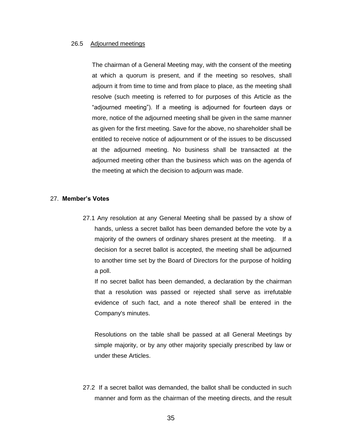#### 26.5 Adjourned meetings

The chairman of a General Meeting may, with the consent of the meeting at which a quorum is present, and if the meeting so resolves, shall adjourn it from time to time and from place to place, as the meeting shall resolve (such meeting is referred to for purposes of this Article as the "adjourned meeting"). If a meeting is adjourned for fourteen days or more, notice of the adjourned meeting shall be given in the same manner as given for the first meeting. Save for the above, no shareholder shall be entitled to receive notice of adjournment or of the issues to be discussed at the adjourned meeting. No business shall be transacted at the adjourned meeting other than the business which was on the agenda of the meeting at which the decision to adjourn was made.

#### <span id="page-34-0"></span>27. **Member's Votes**

27.1 Any resolution at any General Meeting shall be passed by a show of hands, unless a secret ballot has been demanded before the vote by a majority of the owners of ordinary shares present at the meeting. If a decision for a secret ballot is accepted, the meeting shall be adjourned to another time set by the Board of Directors for the purpose of holding a poll.

If no secret ballot has been demanded, a declaration by the chairman that a resolution was passed or rejected shall serve as irrefutable evidence of such fact, and a note thereof shall be entered in the Company's minutes.

Resolutions on the table shall be passed at all General Meetings by simple majority, or by any other majority specially prescribed by law or under these Articles.

27.2 If a secret ballot was demanded, the ballot shall be conducted in such manner and form as the chairman of the meeting directs, and the result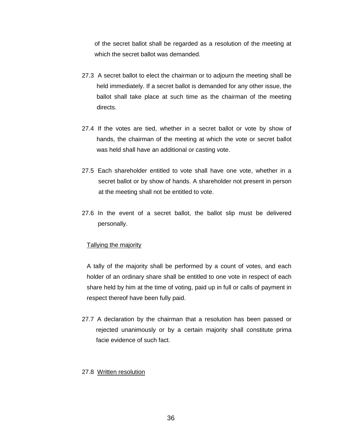of the secret ballot shall be regarded as a resolution of the meeting at which the secret ballot was demanded.

- 27.3 A secret ballot to elect the chairman or to adjourn the meeting shall be held immediately. If a secret ballot is demanded for any other issue, the ballot shall take place at such time as the chairman of the meeting directs.
- 27.4 If the votes are tied, whether in a secret ballot or vote by show of hands, the chairman of the meeting at which the vote or secret ballot was held shall have an additional or casting vote.
- 27.5 Each shareholder entitled to vote shall have one vote, whether in a secret ballot or by show of hands. A shareholder not present in person at the meeting shall not be entitled to vote.
- 27.6 In the event of a secret ballot, the ballot slip must be delivered personally.

#### Tallying the majority

A tally of the majority shall be performed by a count of votes, and each holder of an ordinary share shall be entitled to one vote in respect of each share held by him at the time of voting, paid up in full or calls of payment in respect thereof have been fully paid.

27.7 A declaration by the chairman that a resolution has been passed or rejected unanimously or by a certain majority shall constitute prima facie evidence of such fact.

#### 27.8 Written resolution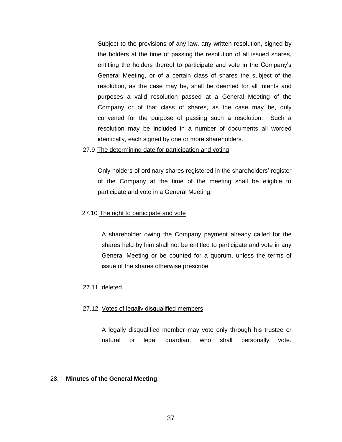Subject to the provisions of any law, any written resolution, signed by the holders at the time of passing the resolution of all issued shares, entitling the holders thereof to participate and vote in the Company's General Meeting, or of a certain class of shares the subject of the resolution, as the case may be, shall be deemed for all intents and purposes a valid resolution passed at a General Meeting of the Company or of that class of shares, as the case may be, duly convened for the purpose of passing such a resolution. Such a resolution may be included in a number of documents all worded identically, each signed by one or more shareholders.

#### 27.9 The determining date for participation and voting

Only holders of ordinary shares registered in the shareholders' register of the Company at the time of the meeting shall be eligible to participate and vote in a General Meeting.

#### 27.10 The right to participate and vote

A shareholder owing the Company payment already called for the shares held by him shall not be entitled to participate and vote in any General Meeting or be counted for a quorum, unless the terms of issue of the shares otherwise prescribe.

#### 27.11 deleted

#### 27.12 Votes of legally disqualified members

A legally disqualified member may vote only through his trustee or natural or legal guardian, who shall personally vote.

#### 28. **Minutes of the General Meeting**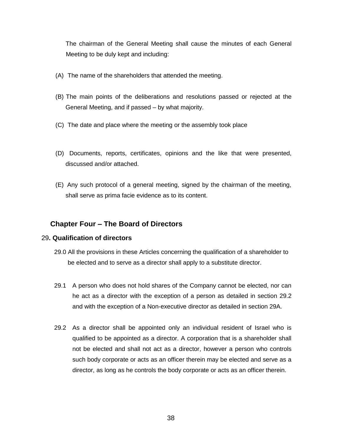The chairman of the General Meeting shall cause the minutes of each General Meeting to be duly kept and including:

- (A) The name of the shareholders that attended the meeting.
- (B) The main points of the deliberations and resolutions passed or rejected at the General Meeting, and if passed – by what majority.
- (C) The date and place where the meeting or the assembly took place
- (D) Documents, reports, certificates, opinions and the like that were presented, discussed and/or attached.
- (E) Any such protocol of a general meeting, signed by the chairman of the meeting, shall serve as prima facie evidence as to its content.

# **Chapter Four – The Board of Directors**

## 29**. Qualification of directors**

- 29.0 All the provisions in these Articles concerning the qualification of a shareholder to be elected and to serve as a director shall apply to a substitute director.
- 29.1 A person who does not hold shares of the Company cannot be elected, nor can he act as a director with the exception of a person as detailed in section 29.2 and with the exception of a Non-executive director as detailed in section 29A.
- 29.2 As a director shall be appointed only an individual resident of Israel who is qualified to be appointed as a director. A corporation that is a shareholder shall not be elected and shall not act as a director, however a person who controls such body corporate or acts as an officer therein may be elected and serve as a director, as long as he controls the body corporate or acts as an officer therein.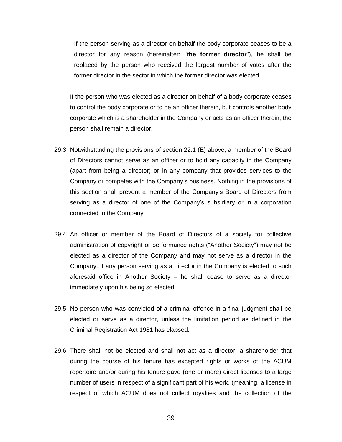If the person serving as a director on behalf the body corporate ceases to be a director for any reason (hereinafter: "**the former director**"), he shall be replaced by the person who received the largest number of votes after the former director in the sector in which the former director was elected.

If the person who was elected as a director on behalf of a body corporate ceases to control the body corporate or to be an officer therein, but controls another body corporate which is a shareholder in the Company or acts as an officer therein, the person shall remain a director.

- 29.3 Notwithstanding the provisions of section 22.1 (E) above, a member of the Board of Directors cannot serve as an officer or to hold any capacity in the Company (apart from being a director) or in any company that provides services to the Company or competes with the Company's business. Nothing in the provisions of this section shall prevent a member of the Company's Board of Directors from serving as a director of one of the Company's subsidiary or in a corporation connected to the Company
- 29.4 An officer or member of the Board of Directors of a society for collective administration of copyright or performance rights ("Another Society") may not be elected as a director of the Company and may not serve as a director in the Company. If any person serving as a director in the Company is elected to such aforesaid office in Another Society – he shall cease to serve as a director immediately upon his being so elected.
- 29.5 No person who was convicted of a criminal offence in a final judgment shall be elected or serve as a director, unless the limitation period as defined in the Criminal Registration Act 1981 has elapsed.
- 29.6 There shall not be elected and shall not act as a director, a shareholder that during the course of his tenure has excepted rights or works of the ACUM repertoire and/or during his tenure gave (one or more) direct licenses to a large number of users in respect of a significant part of his work. (meaning, a license in respect of which ACUM does not collect royalties and the collection of the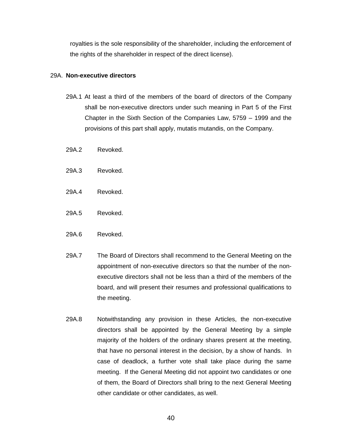royalties is the sole responsibility of the shareholder, including the enforcement of the rights of the shareholder in respect of the direct license).

#### 29A. **Non-executive directors**

- 29A.1 At least a third of the members of the board of directors of the Company shall be non-executive directors under such meaning in Part 5 of the First Chapter in the Sixth Section of the Companies Law, 5759 – 1999 and the provisions of this part shall apply, mutatis mutandis, on the Company.
- 29A.2 Revoked.
- 29A.3 Revoked.
- 29A.4 Revoked.
- 29A.5 Revoked.
- 29A.6 Revoked.
- 29A.7 The Board of Directors shall recommend to the General Meeting on the appointment of non-executive directors so that the number of the nonexecutive directors shall not be less than a third of the members of the board, and will present their resumes and professional qualifications to the meeting.
- 29A.8 Notwithstanding any provision in these Articles, the non-executive directors shall be appointed by the General Meeting by a simple majority of the holders of the ordinary shares present at the meeting, that have no personal interest in the decision, by a show of hands. In case of deadlock, a further vote shall take place during the same meeting. If the General Meeting did not appoint two candidates or one of them, the Board of Directors shall bring to the next General Meeting other candidate or other candidates, as well.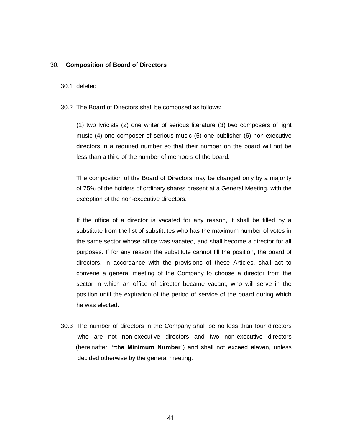#### 30. **Composition of Board of Directors**

## 30.1 deleted

30.2 The Board of Directors shall be composed as follows:

(1) two lyricists (2) one writer of serious literature (3) two composers of light music (4) one composer of serious music (5) one publisher (6) non-executive directors in a required number so that their number on the board will not be less than a third of the number of members of the board.

The composition of the Board of Directors may be changed only by a majority of 75% of the holders of ordinary shares present at a General Meeting, with the exception of the non-executive directors.

If the office of a director is vacated for any reason, it shall be filled by a substitute from the list of substitutes who has the maximum number of votes in the same sector whose office was vacated, and shall become a director for all purposes. If for any reason the substitute cannot fill the position, the board of directors, in accordance with the provisions of these Articles, shall act to convene a general meeting of the Company to choose a director from the sector in which an office of director became vacant, who will serve in the position until the expiration of the period of service of the board during which he was elected.

30.3 The number of directors in the Company shall be no less than four directors who are not non-executive directors and two non-executive directors (hereinafter: **"the Minimum Number**") and shall not exceed eleven, unless decided otherwise by the general meeting.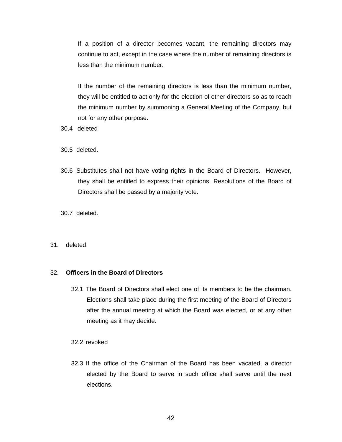If a position of a director becomes vacant, the remaining directors may continue to act, except in the case where the number of remaining directors is less than the minimum number.

If the number of the remaining directors is less than the minimum number, they will be entitled to act only for the election of other directors so as to reach the minimum number by summoning a General Meeting of the Company, but not for any other purpose.

- 30.4 deleted
- 30.5 deleted.
- 30.6 Substitutes shall not have voting rights in the Board of Directors. However, they shall be entitled to express their opinions. Resolutions of the Board of Directors shall be passed by a majority vote.
- 30.7 deleted.
- 31. deleted.

#### 32. **Officers in the Board of Directors**

32.1 The Board of Directors shall elect one of its members to be the chairman. Elections shall take place during the first meeting of the Board of Directors after the annual meeting at which the Board was elected, or at any other meeting as it may decide.

32.2 revoked

32.3 If the office of the Chairman of the Board has been vacated, a director elected by the Board to serve in such office shall serve until the next elections.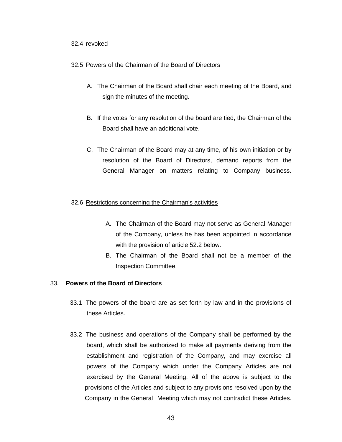## 32.4 revoked

## 32.5 Powers of the Chairman of the Board of Directors

- A. The Chairman of the Board shall chair each meeting of the Board, and sign the minutes of the meeting.
- B. If the votes for any resolution of the board are tied, the Chairman of the Board shall have an additional vote.
- C. The Chairman of the Board may at any time, of his own initiation or by resolution of the Board of Directors, demand reports from the General Manager on matters relating to Company business.

## 32.6 Restrictions concerning the Chairman's activities

- A. The Chairman of the Board may not serve as General Manager of the Company, unless he has been appointed in accordance with the provision of article 52.2 below.
- B. The Chairman of the Board shall not be a member of the Inspection Committee.

## 33. **Powers of the Board of Directors**

- 33.1 The powers of the board are as set forth by law and in the provisions of these Articles.
- 33.2 The business and operations of the Company shall be performed by the board, which shall be authorized to make all payments deriving from the establishment and registration of the Company, and may exercise all powers of the Company which under the Company Articles are not exercised by the General Meeting. All of the above is subject to the provisions of the Articles and subject to any provisions resolved upon by the Company in the General Meeting which may not contradict these Articles.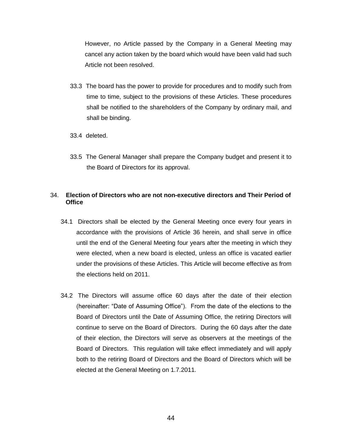However, no Article passed by the Company in a General Meeting may cancel any action taken by the board which would have been valid had such Article not been resolved.

- 33.3 The board has the power to provide for procedures and to modify such from time to time, subject to the provisions of these Articles. These procedures shall be notified to the shareholders of the Company by ordinary mail, and shall be binding.
- 33.4 deleted.
- 33.5 The General Manager shall prepare the Company budget and present it to the Board of Directors for its approval.

## 34. **Election of Directors who are not non-executive directors and Their Period of Office**

- 34.1 Directors shall be elected by the General Meeting once every four years in accordance with the provisions of Article 36 herein, and shall serve in office until the end of the General Meeting four years after the meeting in which they were elected, when a new board is elected, unless an office is vacated earlier under the provisions of these Articles. This Article will become effective as from the elections held on 2011.
- 34.2 The Directors will assume office 60 days after the date of their election (hereinafter: "Date of Assuming Office"). From the date of the elections to the Board of Directors until the Date of Assuming Office, the retiring Directors will continue to serve on the Board of Directors. During the 60 days after the date of their election, the Directors will serve as observers at the meetings of the Board of Directors. This regulation will take effect immediately and will apply both to the retiring Board of Directors and the Board of Directors which will be elected at the General Meeting on 1.7.2011.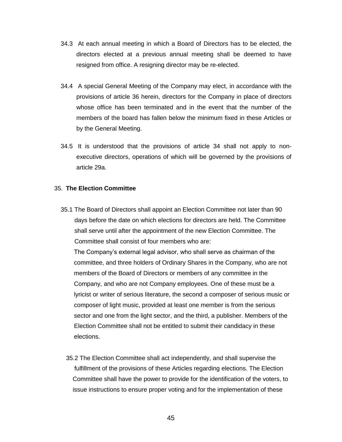- 34.3 At each annual meeting in which a Board of Directors has to be elected, the directors elected at a previous annual meeting shall be deemed to have resigned from office. A resigning director may be re-elected.
- 34.4 A special General Meeting of the Company may elect, in accordance with the provisions of article 36 herein, directors for the Company in place of directors whose office has been terminated and in the event that the number of the members of the board has fallen below the minimum fixed in these Articles or by the General Meeting.
- 34.5 It is understood that the provisions of article 34 shall not apply to nonexecutive directors, operations of which will be governed by the provisions of article 29a.

## 35. **The Election Committee**

35.1 The Board of Directors shall appoint an Election Committee not later than 90 days before the date on which elections for directors are held. The Committee shall serve until after the appointment of the new Election Committee. The Committee shall consist of four members who are:

The Company's external legal advisor, who shall serve as chairman of the committee, and three holders of Ordinary Shares in the Company, who are not members of the Board of Directors or members of any committee in the Company, and who are not Company employees. One of these must be a lyricist or writer of serious literature, the second a composer of serious music or composer of light music, provided at least one member is from the serious sector and one from the light sector, and the third, a publisher. Members of the Election Committee shall not be entitled to submit their candidacy in these elections.

35.2 The Election Committee shall act independently, and shall supervise the fulfillment of the provisions of these Articles regarding elections. The Election Committee shall have the power to provide for the identification of the voters, to issue instructions to ensure proper voting and for the implementation of these

45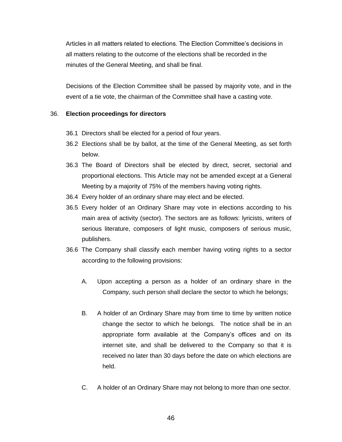Articles in all matters related to elections. The Election Committee's decisions in all matters relating to the outcome of the elections shall be recorded in the minutes of the General Meeting, and shall be final.

Decisions of the Election Committee shall be passed by majority vote, and in the event of a tie vote, the chairman of the Committee shall have a casting vote.

## 36. **Election proceedings for directors**

- 36.1 Directors shall be elected for a period of four years.
- 36.2 Elections shall be by ballot, at the time of the General Meeting, as set forth below.
- 36.3 The Board of Directors shall be elected by direct, secret, sectorial and proportional elections. This Article may not be amended except at a General Meeting by a majority of 75% of the members having voting rights.
- 36.4 Every holder of an ordinary share may elect and be elected.
- 36.5 Every holder of an Ordinary Share may vote in elections according to his main area of activity (sector). The sectors are as follows: lyricists, writers of serious literature, composers of light music, composers of serious music, publishers.
- 36.6 The Company shall classify each member having voting rights to a sector according to the following provisions:
	- A. Upon accepting a person as a holder of an ordinary share in the Company, such person shall declare the sector to which he belongs;
	- B. A holder of an Ordinary Share may from time to time by written notice change the sector to which he belongs. The notice shall be in an appropriate form available at the Company's offices and on its internet site, and shall be delivered to the Company so that it is received no later than 30 days before the date on which elections are held.
	- C. A holder of an Ordinary Share may not belong to more than one sector.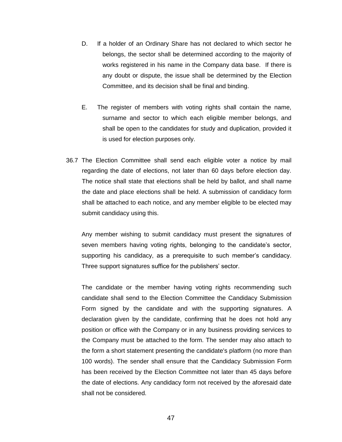- D. If a holder of an Ordinary Share has not declared to which sector he belongs, the sector shall be determined according to the majority of works registered in his name in the Company data base. If there is any doubt or dispute, the issue shall be determined by the Election Committee, and its decision shall be final and binding.
- E. The register of members with voting rights shall contain the name, surname and sector to which each eligible member belongs, and shall be open to the candidates for study and duplication, provided it is used for election purposes only.
- 36.7 The Election Committee shall send each eligible voter a notice by mail regarding the date of elections, not later than 60 days before election day. The notice shall state that elections shall be held by ballot, and shall name the date and place elections shall be held. A submission of candidacy form shall be attached to each notice, and any member eligible to be elected may submit candidacy using this.

Any member wishing to submit candidacy must present the signatures of seven members having voting rights, belonging to the candidate's sector, supporting his candidacy, as a prerequisite to such member's candidacy. Three support signatures suffice for the publishers' sector.

The candidate or the member having voting rights recommending such candidate shall send to the Election Committee the Candidacy Submission Form signed by the candidate and with the supporting signatures. A declaration given by the candidate, confirming that he does not hold any position or office with the Company or in any business providing services to the Company must be attached to the form. The sender may also attach to the form a short statement presenting the candidate's platform (no more than 100 words). The sender shall ensure that the Candidacy Submission Form has been received by the Election Committee not later than 45 days before the date of elections. Any candidacy form not received by the aforesaid date shall not be considered.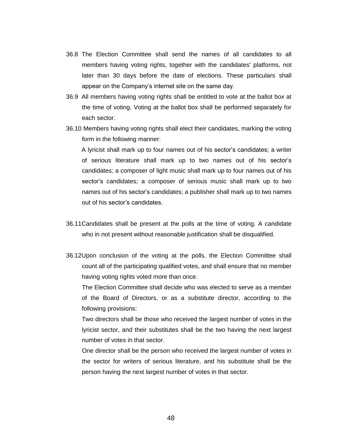- 36.8 The Election Committee shall send the names of all candidates to all members having voting rights, together with the candidates' platforms, not later than 30 days before the date of elections. These particulars shall appear on the Company's internet site on the same day.
- 36.9 All members having voting rights shall be entitled to vote at the ballot box at the time of voting. Voting at the ballot box shall be performed separately for each sector.
- 36.10 Members having voting rights shall elect their candidates, marking the voting form in the following manner:

A lyricist shall mark up to four names out of his sector's candidates; a writer of serious literature shall mark up to two names out of his sector's candidates; a composer of light music shall mark up to four names out of his sector's candidates; a composer of serious music shall mark up to two names out of his sector's candidates; a publisher shall mark up to two names out of his sector's candidates.

- 36.11Candidates shall be present at the polls at the time of voting. A candidate who in not present without reasonable justification shall be disqualified.
- 36.12Upon conclusion of the voting at the polls, the Election Committee shall count all of the participating qualified votes, and shall ensure that no member having voting rights voted more than once.

The Election Committee shall decide who was elected to serve as a member of the Board of Directors, or as a substitute director, according to the following provisions:

Two directors shall be those who received the largest number of votes in the lyricist sector, and their substitutes shall be the two having the next largest number of votes in that sector.

One director shall be the person who received the largest number of votes in the sector for writers of serious literature, and his substitute shall be the person having the next largest number of votes in that sector.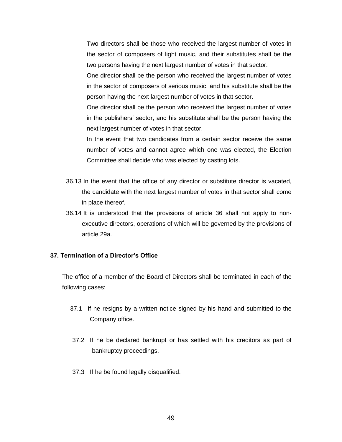Two directors shall be those who received the largest number of votes in the sector of composers of light music, and their substitutes shall be the two persons having the next largest number of votes in that sector.

One director shall be the person who received the largest number of votes in the sector of composers of serious music, and his substitute shall be the person having the next largest number of votes in that sector.

One director shall be the person who received the largest number of votes in the publishers' sector, and his substitute shall be the person having the next largest number of votes in that sector.

In the event that two candidates from a certain sector receive the same number of votes and cannot agree which one was elected, the Election Committee shall decide who was elected by casting lots.

- 36.13 In the event that the office of any director or substitute director is vacated, the candidate with the next largest number of votes in that sector shall come in place thereof.
- 36.14 It is understood that the provisions of article 36 shall not apply to nonexecutive directors, operations of which will be governed by the provisions of article 29a.

## **37. Termination of a Director's Office**

The office of a member of the Board of Directors shall be terminated in each of the following cases:

- 37.1 If he resigns by a written notice signed by his hand and submitted to the Company office.
- 37.2 If he be declared bankrupt or has settled with his creditors as part of bankruptcy proceedings.
- 37.3 If he be found legally disqualified.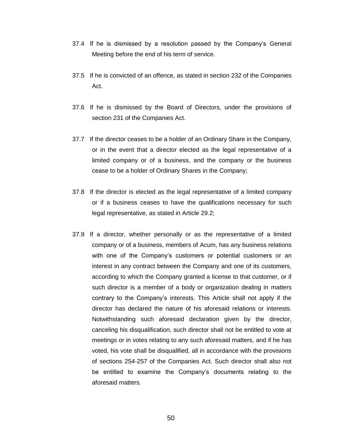- 37.4 If he is dismissed by a resolution passed by the Company's General Meeting before the end of his term of service.
- 37.5 If he is convicted of an offence, as stated in section 232 of the Companies Act.
- 37.6 If he is dismissed by the Board of Directors, under the provisions of section 231 of the Companies Act.
- 37.7 If the director ceases to be a holder of an Ordinary Share in the Company, or in the event that a director elected as the legal representative of a limited company or of a business, and the company or the business cease to be a holder of Ordinary Shares in the Company;
- 37.8 If the director is elected as the legal representative of a limited company or if a business ceases to have the qualifications necessary for such legal representative, as stated in Article 29.2;
- 37.9 If a director, whether personally or as the representative of a limited company or of a business, members of Acum, has any business relations with one of the Company's customers or potential customers or an interest in any contract between the Company and one of its customers, according to which the Company granted a license to that customer, or if such director is a member of a body or organization dealing in matters contrary to the Company's interests. This Article shall not apply if the director has declared the nature of his aforesaid relations or interests. Notwithstanding such aforesaid declaration given by the director, canceling his disqualification, such director shall not be entitled to vote at meetings or in votes relating to any such aforesaid matters, and if he has voted, his vote shall be disqualified, all in accordance with the provisions of sections 254-257 of the Companies Act. Such director shall also not be entitled to examine the Company's documents relating to the aforesaid matters.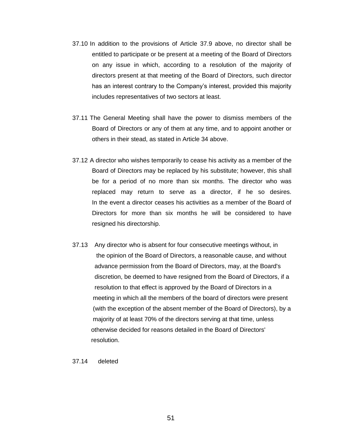- 37.10 In addition to the provisions of Article 37.9 above, no director shall be entitled to participate or be present at a meeting of the Board of Directors on any issue in which, according to a resolution of the majority of directors present at that meeting of the Board of Directors, such director has an interest contrary to the Company's interest, provided this majority includes representatives of two sectors at least.
- 37.11 The General Meeting shall have the power to dismiss members of the Board of Directors or any of them at any time, and to appoint another or others in their stead, as stated in Article 34 above.
- 37.12 A director who wishes temporarily to cease his activity as a member of the Board of Directors may be replaced by his substitute; however, this shall be for a period of no more than six months. The director who was replaced may return to serve as a director, if he so desires. In the event a director ceases his activities as a member of the Board of Directors for more than six months he will be considered to have resigned his directorship.
- 37.13 Any director who is absent for four consecutive meetings without, in the opinion of the Board of Directors, a reasonable cause, and without advance permission from the Board of Directors, may, at the Board's discretion, be deemed to have resigned from the Board of Directors, if a resolution to that effect is approved by the Board of Directors in a meeting in which all the members of the board of directors were present (with the exception of the absent member of the Board of Directors), by a majority of at least 70% of the directors serving at that time, unless otherwise decided for reasons detailed in the Board of Directors' resolution.

37.14 deleted

51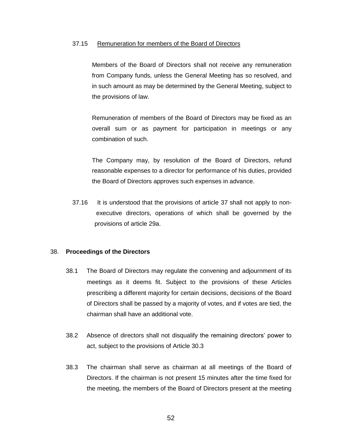#### 37.15 Remuneration for members of the Board of Directors

Members of the Board of Directors shall not receive any remuneration from Company funds, unless the General Meeting has so resolved, and in such amount as may be determined by the General Meeting, subject to the provisions of law.

Remuneration of members of the Board of Directors may be fixed as an overall sum or as payment for participation in meetings or any combination of such.

The Company may, by resolution of the Board of Directors, refund reasonable expenses to a director for performance of his duties, provided the Board of Directors approves such expenses in advance.

37.16 It is understood that the provisions of article 37 shall not apply to non executive directors, operations of which shall be governed by the provisions of article 29a.

#### 38. **Proceedings of the Directors**

- 38.1 The Board of Directors may regulate the convening and adjournment of its meetings as it deems fit. Subject to the provisions of these Articles prescribing a different majority for certain decisions, decisions of the Board of Directors shall be passed by a majority of votes, and if votes are tied, the chairman shall have an additional vote.
- 38.2 Absence of directors shall not disqualify the remaining directors' power to act, subject to the provisions of Article 30.3
- 38.3 The chairman shall serve as chairman at all meetings of the Board of Directors. If the chairman is not present 15 minutes after the time fixed for the meeting, the members of the Board of Directors present at the meeting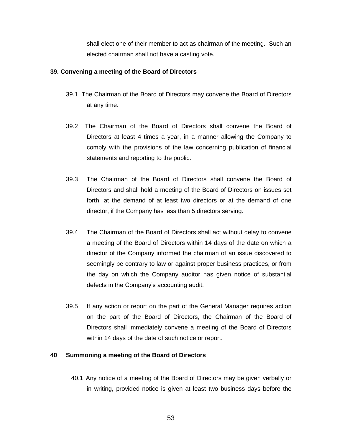shall elect one of their member to act as chairman of the meeting. Such an elected chairman shall not have a casting vote.

## **39. Convening a meeting of the Board of Directors**

- 39.1 The Chairman of the Board of Directors may convene the Board of Directors at any time.
- 39.2 The Chairman of the Board of Directors shall convene the Board of Directors at least 4 times a year, in a manner allowing the Company to comply with the provisions of the law concerning publication of financial statements and reporting to the public.
- 39.3 The Chairman of the Board of Directors shall convene the Board of Directors and shall hold a meeting of the Board of Directors on issues set forth, at the demand of at least two directors or at the demand of one director, if the Company has less than 5 directors serving.
- 39.4 The Chairman of the Board of Directors shall act without delay to convene a meeting of the Board of Directors within 14 days of the date on which a director of the Company informed the chairman of an issue discovered to seemingly be contrary to law or against proper business practices, or from the day on which the Company auditor has given notice of substantial defects in the Company's accounting audit.
- 39.5 If any action or report on the part of the General Manager requires action on the part of the Board of Directors, the Chairman of the Board of Directors shall immediately convene a meeting of the Board of Directors within 14 days of the date of such notice or report.

## **40 Summoning a meeting of the Board of Directors**

40.1 Any notice of a meeting of the Board of Directors may be given verbally or in writing, provided notice is given at least two business days before the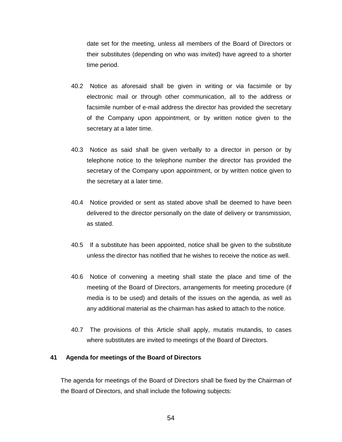date set for the meeting, unless all members of the Board of Directors or their substitutes (depending on who was invited) have agreed to a shorter time period.

- 40.2 Notice as aforesaid shall be given in writing or via facsimile or by electronic mail or through other communication, all to the address or facsimile number of e-mail address the director has provided the secretary of the Company upon appointment, or by written notice given to the secretary at a later time.
- 40.3 Notice as said shall be given verbally to a director in person or by telephone notice to the telephone number the director has provided the secretary of the Company upon appointment, or by written notice given to the secretary at a later time.
- 40.4 Notice provided or sent as stated above shall be deemed to have been delivered to the director personally on the date of delivery or transmission, as stated.
- 40.5 If a substitute has been appointed, notice shall be given to the substitute unless the director has notified that he wishes to receive the notice as well.
- 40.6 Notice of convening a meeting shall state the place and time of the meeting of the Board of Directors, arrangements for meeting procedure (if media is to be used) and details of the issues on the agenda, as well as any additional material as the chairman has asked to attach to the notice.
- 40.7 The provisions of this Article shall apply, mutatis mutandis, to cases where substitutes are invited to meetings of the Board of Directors.

## **41 Agenda for meetings of the Board of Directors**

The agenda for meetings of the Board of Directors shall be fixed by the Chairman of the Board of Directors, and shall include the following subjects: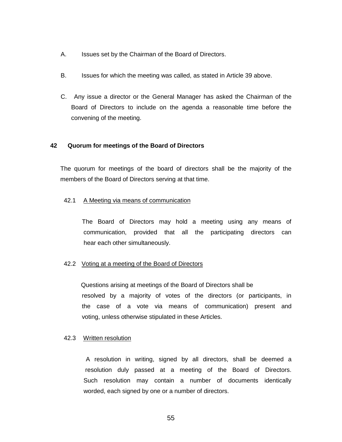- A. Issues set by the Chairman of the Board of Directors.
- B. Issues for which the meeting was called, as stated in Article 39 above.
- C. Any issue a director or the General Manager has asked the Chairman of the Board of Directors to include on the agenda a reasonable time before the convening of the meeting.

## **42 Quorum for meetings of the Board of Directors**

The quorum for meetings of the board of directors shall be the majority of the members of the Board of Directors serving at that time.

## 42.1 A Meeting via means of communication

 The Board of Directors may hold a meeting using any means of communication, provided that all the participating directors can hear each other simultaneously.

## 42.2 Voting at a meeting of the Board of Directors

 Questions arising at meetings of the Board of Directors shall be resolved by a majority of votes of the directors (or participants, in the case of a vote via means of communication) present and voting, unless otherwise stipulated in these Articles.

## 42.3 Written resolution

A resolution in writing, signed by all directors, shall be deemed a resolution duly passed at a meeting of the Board of Directors. Such resolution may contain a number of documents identically worded, each signed by one or a number of directors.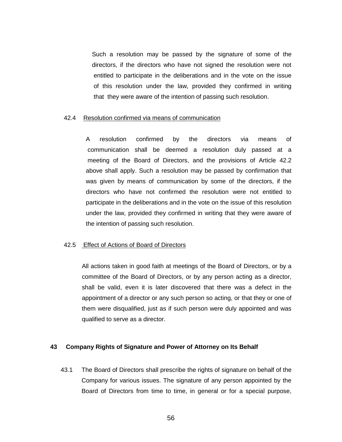Such a resolution may be passed by the signature of some of the directors, if the directors who have not signed the resolution were not entitled to participate in the deliberations and in the vote on the issue of this resolution under the law, provided they confirmed in writing that they were aware of the intention of passing such resolution.

#### 42.4 Resolution confirmed via means of communication

A resolution confirmed by the directors via means of communication shall be deemed a resolution duly passed at a meeting of the Board of Directors, and the provisions of Article 42.2 above shall apply. Such a resolution may be passed by confirmation that was given by means of communication by some of the directors, if the directors who have not confirmed the resolution were not entitled to participate in the deliberations and in the vote on the issue of this resolution under the law, provided they confirmed in writing that they were aware of the intention of passing such resolution.

#### 42.5 Effect of Actions of Board of Directors

All actions taken in good faith at meetings of the Board of Directors, or by a committee of the Board of Directors, or by any person acting as a director, shall be valid, even it is later discovered that there was a defect in the appointment of a director or any such person so acting, or that they or one of them were disqualified, just as if such person were duly appointed and was qualified to serve as a director.

## **43 Company Rights of Signature and Power of Attorney on Its Behalf**

43.1 The Board of Directors shall prescribe the rights of signature on behalf of the Company for various issues. The signature of any person appointed by the Board of Directors from time to time, in general or for a special purpose,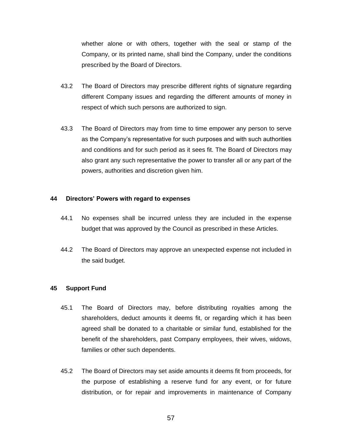whether alone or with others, together with the seal or stamp of the Company, or its printed name, shall bind the Company, under the conditions prescribed by the Board of Directors.

- 43.2 The Board of Directors may prescribe different rights of signature regarding different Company issues and regarding the different amounts of money in respect of which such persons are authorized to sign.
- 43.3 The Board of Directors may from time to time empower any person to serve as the Company's representative for such purposes and with such authorities and conditions and for such period as it sees fit. The Board of Directors may also grant any such representative the power to transfer all or any part of the powers, authorities and discretion given him.

#### **44 Directors' Powers with regard to expenses**

- 44.1 No expenses shall be incurred unless they are included in the expense budget that was approved by the Council as prescribed in these Articles.
- 44.2 The Board of Directors may approve an unexpected expense not included in the said budget.

#### **45 Support Fund**

- 45.1 The Board of Directors may, before distributing royalties among the shareholders, deduct amounts it deems fit, or regarding which it has been agreed shall be donated to a charitable or similar fund, established for the benefit of the shareholders, past Company employees, their wives, widows, families or other such dependents.
- 45.2 The Board of Directors may set aside amounts it deems fit from proceeds, for the purpose of establishing a reserve fund for any event, or for future distribution, or for repair and improvements in maintenance of Company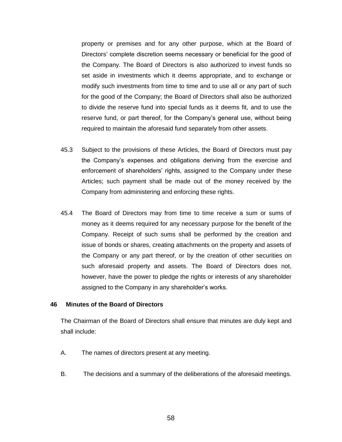property or premises and for any other purpose, which at the Board of Directors' complete discretion seems necessary or beneficial for the good of the Company. The Board of Directors is also authorized to invest funds so set aside in investments which it deems appropriate, and to exchange or modify such investments from time to time and to use all or any part of such for the good of the Company; the Board of Directors shall also be authorized to divide the reserve fund into special funds as it deems fit, and to use the reserve fund, or part thereof, for the Company's general use, without being required to maintain the aforesaid fund separately from other assets.

- 45.3 Subject to the provisions of these Articles, the Board of Directors must pay the Company's expenses and obligations deriving from the exercise and enforcement of shareholders' rights, assigned to the Company under these Articles; such payment shall be made out of the money received by the Company from administering and enforcing these rights.
- 45.4 The Board of Directors may from time to time receive a sum or sums of money as it deems required for any necessary purpose for the benefit of the Company. Receipt of such sums shall be performed by the creation and issue of bonds or shares, creating attachments on the property and assets of the Company or any part thereof, or by the creation of other securities on such aforesaid property and assets. The Board of Directors does not, however, have the power to pledge the rights or interests of any shareholder assigned to the Company in any shareholder's works.

#### **46 Minutes of the Board of Directors**

The Chairman of the Board of Directors shall ensure that minutes are duly kept and shall include:

- A. The names of directors present at any meeting.
- B. The decisions and a summary of the deliberations of the aforesaid meetings.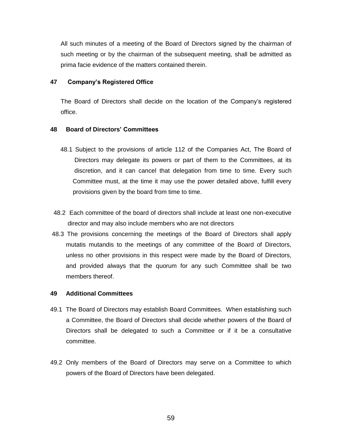All such minutes of a meeting of the Board of Directors signed by the chairman of such meeting or by the chairman of the subsequent meeting, shall be admitted as prima facie evidence of the matters contained therein.

## **47 Company's Registered Office**

The Board of Directors shall decide on the location of the Company's registered office.

## **48 Board of Directors' Committees**

- 48.1 Subject to the provisions of article 112 of the Companies Act, The Board of Directors may delegate its powers or part of them to the Committees, at its discretion, and it can cancel that delegation from time to time. Every such Committee must, at the time it may use the power detailed above, fulfill every provisions given by the board from time to time.
- 48.2 Each committee of the board of directors shall include at least one non-executive director and may also include members who are not directors
- 48.3 The provisions concerning the meetings of the Board of Directors shall apply mutatis mutandis to the meetings of any committee of the Board of Directors, unless no other provisions in this respect were made by the Board of Directors, and provided always that the quorum for any such Committee shall be two members thereof.

## **49 Additional Committees**

- 49.1 The Board of Directors may establish Board Committees. When establishing such a Committee, the Board of Directors shall decide whether powers of the Board of Directors shall be delegated to such a Committee or if it be a consultative committee.
- 49.2 Only members of the Board of Directors may serve on a Committee to which powers of the Board of Directors have been delegated.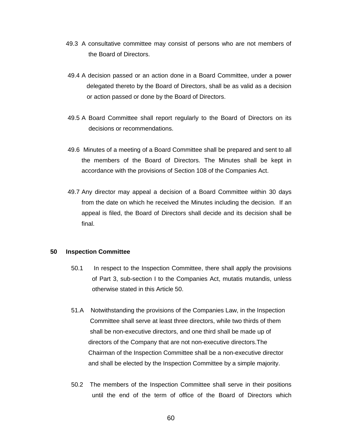- 49.3 A consultative committee may consist of persons who are not members of the Board of Directors.
- 49.4 A decision passed or an action done in a Board Committee, under a power delegated thereto by the Board of Directors, shall be as valid as a decision or action passed or done by the Board of Directors.
- 49.5 A Board Committee shall report regularly to the Board of Directors on its decisions or recommendations.
- 49.6 Minutes of a meeting of a Board Committee shall be prepared and sent to all the members of the Board of Directors. The Minutes shall be kept in accordance with the provisions of Section 108 of the Companies Act.
- 49.7 Any director may appeal a decision of a Board Committee within 30 days from the date on which he received the Minutes including the decision. If an appeal is filed, the Board of Directors shall decide and its decision shall be final.

## **50 Inspection Committee**

- 50.1 In respect to the Inspection Committee, there shall apply the provisions of Part 3, sub-section I to the Companies Act, mutatis mutandis, unless otherwise stated in this Article 50.
- 51.A Notwithstanding the provisions of the Companies Law, in the Inspection Committee shall serve at least three directors, while two thirds of them shall be non-executive directors, and one third shall be made up of directors of the Company that are not non-executive directors.The Chairman of the Inspection Committee shall be a non-executive director and shall be elected by the Inspection Committee by a simple majority.
- 50.2 The members of the Inspection Committee shall serve in their positions until the end of the term of office of the Board of Directors which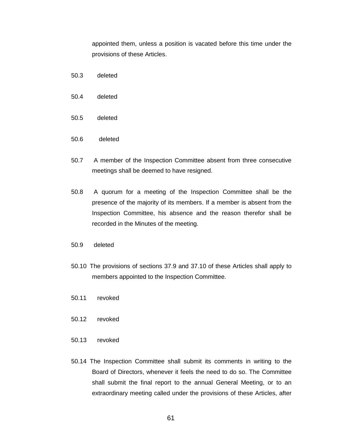appointed them, unless a position is vacated before this time under the provisions of these Articles.

- 50.3 deleted
- 50.4 deleted
- 50.5 deleted
- 50.6 deleted
- 50.7 A member of the Inspection Committee absent from three consecutive meetings shall be deemed to have resigned.
- 50.8 A quorum for a meeting of the Inspection Committee shall be the presence of the majority of its members. If a member is absent from the Inspection Committee, his absence and the reason therefor shall be recorded in the Minutes of the meeting.
- 50.9 deleted
- 50.10 The provisions of sections 37.9 and 37.10 of these Articles shall apply to members appointed to the Inspection Committee.
- 50.11 revoked
- 50.12 revoked
- 50.13 revoked
- 50.14 The Inspection Committee shall submit its comments in writing to the Board of Directors, whenever it feels the need to do so. The Committee shall submit the final report to the annual General Meeting, or to an extraordinary meeting called under the provisions of these Articles, after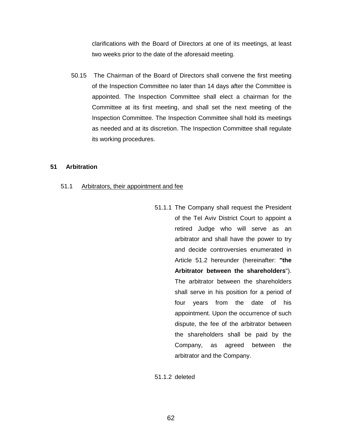clarifications with the Board of Directors at one of its meetings, at least two weeks prior to the date of the aforesaid meeting.

50.15 The Chairman of the Board of Directors shall convene the first meeting of the Inspection Committee no later than 14 days after the Committee is appointed. The Inspection Committee shall elect a chairman for the Committee at its first meeting, and shall set the next meeting of the Inspection Committee. The Inspection Committee shall hold its meetings as needed and at its discretion. The Inspection Committee shall regulate its working procedures.

## **51 Arbitration**

#### 51.1 Arbitrators, their appointment and fee

51.1.1 The Company shall request the President of the Tel Aviv District Court to appoint a retired Judge who will serve as an arbitrator and shall have the power to try and decide controversies enumerated in Article 51.2 hereunder (hereinafter: **"the Arbitrator between the shareholders**"). The arbitrator between the shareholders shall serve in his position for a period of four years from the date of his appointment. Upon the occurrence of such dispute, the fee of the arbitrator between the shareholders shall be paid by the Company, as agreed between the arbitrator and the Company.

51.1.2 deleted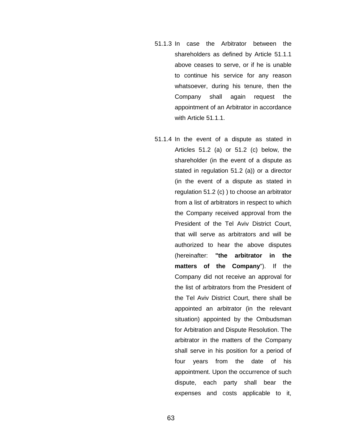- 51.1.3 In case the Arbitrator between the shareholders as defined by Article 51.1.1 above ceases to serve, or if he is unable to continue his service for any reason whatsoever, during his tenure, then the Company shall again request the appointment of an Arbitrator in accordance with Article 51.1.1.
- 51.1.4 In the event of a dispute as stated in Articles 51.2 (a) or 51.2 (c) below, the shareholder (in the event of a dispute as stated in regulation 51.2 (a)) or a director (in the event of a dispute as stated in regulation 51.2 (c) ) to choose an arbitrator from a list of arbitrators in respect to which the Company received approval from the President of the Tel Aviv District Court, that will serve as arbitrators and will be authorized to hear the above disputes (hereinafter: **"the arbitrator in the matters of the Company**"). If the Company did not receive an approval for the list of arbitrators from the President of the Tel Aviv District Court, there shall be appointed an arbitrator (in the relevant situation) appointed by the Ombudsman for Arbitration and Dispute Resolution. The arbitrator in the matters of the Company shall serve in his position for a period of four years from the date of his appointment. Upon the occurrence of such dispute, each party shall bear the expenses and costs applicable to it,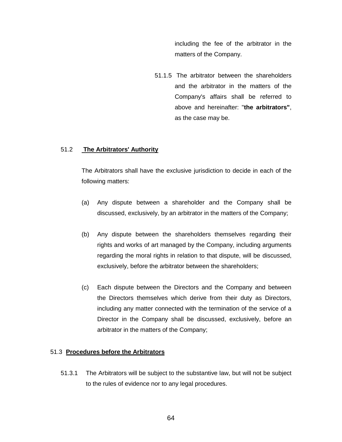including the fee of the arbitrator in the matters of the Company.

51.1.5 The arbitrator between the shareholders and the arbitrator in the matters of the Company's affairs shall be referred to above and hereinafter: "**the arbitrators"**, as the case may be.

## 51.2 **The Arbitrators' Authority**

The Arbitrators shall have the exclusive jurisdiction to decide in each of the following matters:

- (a) Any dispute between a shareholder and the Company shall be discussed, exclusively, by an arbitrator in the matters of the Company;
- (b) Any dispute between the shareholders themselves regarding their rights and works of art managed by the Company, including arguments regarding the moral rights in relation to that dispute, will be discussed, exclusively, before the arbitrator between the shareholders;
- (c) Each dispute between the Directors and the Company and between the Directors themselves which derive from their duty as Directors, including any matter connected with the termination of the service of a Director in the Company shall be discussed, exclusively, before an arbitrator in the matters of the Company;

## 51.3 **Procedures before the Arbitrators**

51.3.1 The Arbitrators will be subject to the substantive law, but will not be subject to the rules of evidence nor to any legal procedures.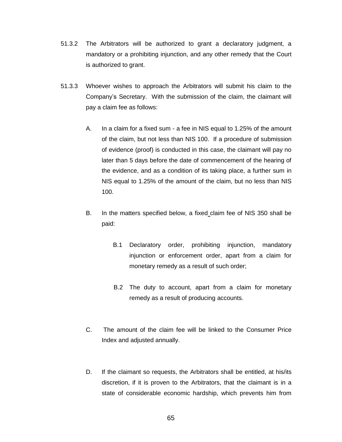- 51.3.2 The Arbitrators will be authorized to grant a declaratory judgment, a mandatory or a prohibiting injunction, and any other remedy that the Court is authorized to grant.
- 51.3.3 Whoever wishes to approach the Arbitrators will submit his claim to the Company's Secretary. With the submission of the claim, the claimant will pay a claim fee as follows:
	- A. In a claim for a fixed sum a fee in NIS equal to 1.25% of the amount of the claim, but not less than NIS 100. If a procedure of submission of evidence (proof) is conducted in this case, the claimant will pay no later than 5 days before the date of commencement of the hearing of the evidence, and as a condition of its taking place, a further sum in NIS equal to 1.25% of the amount of the claim, but no less than NIS 100.
	- B. In the matters specified below, a fixed claim fee of NIS 350 shall be paid:
		- B.1 Declaratory order, prohibiting injunction, mandatory injunction or enforcement order, apart from a claim for monetary remedy as a result of such order;
		- B.2 The duty to account, apart from a claim for monetary remedy as a result of producing accounts.
	- C. The amount of the claim fee will be linked to the Consumer Price Index and adjusted annually.
	- D. If the claimant so requests, the Arbitrators shall be entitled, at his/its discretion, if it is proven to the Arbitrators, that the claimant is in a state of considerable economic hardship, which prevents him from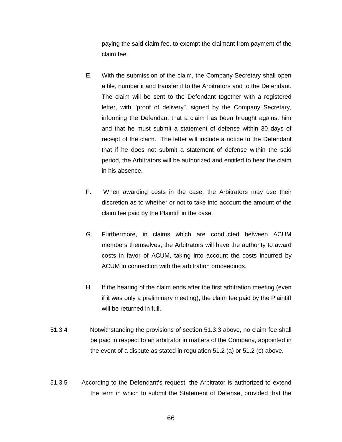paying the said claim fee, to exempt the claimant from payment of the claim fee.

- E. With the submission of the claim, the Company Secretary shall open a file, number it and transfer it to the Arbitrators and to the Defendant. The claim will be sent to the Defendant together with a registered letter, with "proof of delivery", signed by the Company Secretary, informing the Defendant that a claim has been brought against him and that he must submit a statement of defense within 30 days of receipt of the claim. The letter will include a notice to the Defendant that if he does not submit a statement of defense within the said period, the Arbitrators will be authorized and entitled to hear the claim in his absence.
- F. When awarding costs in the case, the Arbitrators may use their discretion as to whether or not to take into account the amount of the claim fee paid by the Plaintiff in the case.
- G. Furthermore, in claims which are conducted between ACUM members themselves, the Arbitrators will have the authority to award costs in favor of ACUM, taking into account the costs incurred by ACUM in connection with the arbitration proceedings.
- H. If the hearing of the claim ends after the first arbitration meeting (even if it was only a preliminary meeting), the claim fee paid by the Plaintiff will be returned in full.
- 51.3.4 Notwithstanding the provisions of section 51.3.3 above, no claim fee shall be paid in respect to an arbitrator in matters of the Company, appointed in the event of a dispute as stated in regulation 51.2 (a) or 51.2 (c) above.
- 51.3.5 According to the Defendant's request, the Arbitrator is authorized to extend the term in which to submit the Statement of Defense, provided that the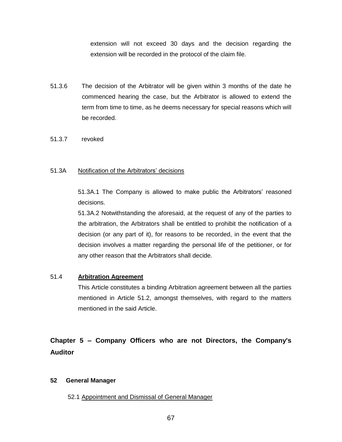extension will not exceed 30 days and the decision regarding the extension will be recorded in the protocol of the claim file.

- 51.3.6 The decision of the Arbitrator will be given within 3 months of the date he commenced hearing the case, but the Arbitrator is allowed to extend the term from time to time, as he deems necessary for special reasons which will be recorded.
- 51.3.7 revoked

## 51.3A Notification of the Arbitrators' decisions

51.3A.1 The Company is allowed to make public the Arbitrators' reasoned decisions.

51.3A.2 Notwithstanding the aforesaid, at the request of any of the parties to the arbitration, the Arbitrators shall be entitled to prohibit the notification of a decision (or any part of it), for reasons to be recorded, in the event that the decision involves a matter regarding the personal life of the petitioner, or for any other reason that the Arbitrators shall decide.

## 51.4 **Arbitration Agreement**

This Article constitutes a binding Arbitration agreement between all the parties mentioned in Article 51.2, amongst themselves, with regard to the matters mentioned in the said Article.

# **Chapter 5 – Company Officers who are not Directors, the Company's Auditor**

## **52 General Manager**

52.1 Appointment and Dismissal of General Manager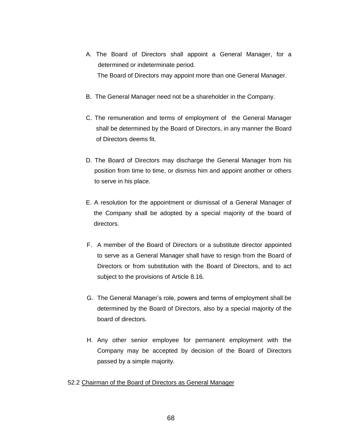- A. The Board of Directors shall appoint a General Manager, for a determined or indeterminate period. The Board of Directors may appoint more than one General Manager.
- B. The General Manager need not be a shareholder in the Company.
- C. The remuneration and terms of employment of the General Manager shall be determined by the Board of Directors, in any manner the Board of Directors deems fit.
- D. The Board of Directors may discharge the General Manager from his position from time to time, or dismiss him and appoint another or others to serve in his place.
- E. A resolution for the appointment or dismissal of a General Manager of the Company shall be adopted by a special majority of the board of directors.
- F. A member of the Board of Directors or a substitute director appointed to serve as a General Manager shall have to resign from the Board of Directors or from substitution with the Board of Directors, and to act subject to the provisions of Article 8.16.
- G. The General Manager's role, powers and terms of employment shall be determined by the Board of Directors, also by a special majority of the board of directors.
- H. Any other senior employee for permanent employment with the Company may be accepted by decision of the Board of Directors passed by a simple majority.

## 52.2 Chairman of the Board of Directors as General Manager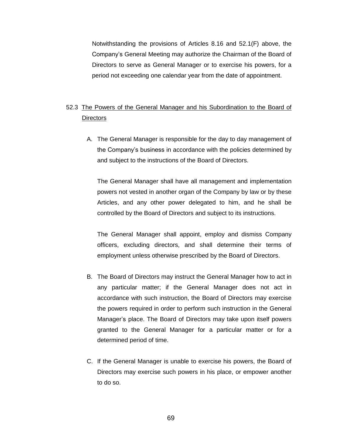Notwithstanding the provisions of Articles 8.16 and 52.1(F) above, the Company's General Meeting may authorize the Chairman of the Board of Directors to serve as General Manager or to exercise his powers, for a period not exceeding one calendar year from the date of appointment.

# 52.3 The Powers of the General Manager and his Subordination to the Board of **Directors**

A. The General Manager is responsible for the day to day management of the Company's business in accordance with the policies determined by and subject to the instructions of the Board of Directors.

The General Manager shall have all management and implementation powers not vested in another organ of the Company by law or by these Articles, and any other power delegated to him, and he shall be controlled by the Board of Directors and subject to its instructions.

The General Manager shall appoint, employ and dismiss Company officers, excluding directors, and shall determine their terms of employment unless otherwise prescribed by the Board of Directors.

- B. The Board of Directors may instruct the General Manager how to act in any particular matter; if the General Manager does not act in accordance with such instruction, the Board of Directors may exercise the powers required in order to perform such instruction in the General Manager's place. The Board of Directors may take upon itself powers granted to the General Manager for a particular matter or for a determined period of time.
- C. If the General Manager is unable to exercise his powers, the Board of Directors may exercise such powers in his place, or empower another to do so.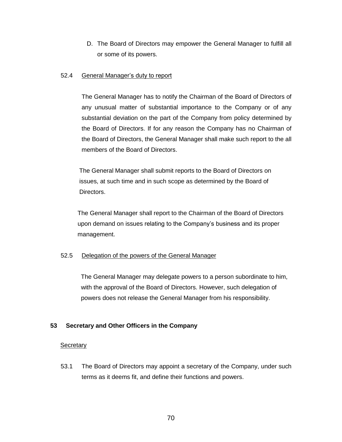D. The Board of Directors may empower the General Manager to fulfill all or some of its powers.

## 52.4 General Manager's duty to report

The General Manager has to notify the Chairman of the Board of Directors of any unusual matter of substantial importance to the Company or of any substantial deviation on the part of the Company from policy determined by the Board of Directors. If for any reason the Company has no Chairman of the Board of Directors, the General Manager shall make such report to the all members of the Board of Directors.

 The General Manager shall submit reports to the Board of Directors on issues, at such time and in such scope as determined by the Board of Directors.

 The General Manager shall report to the Chairman of the Board of Directors upon demand on issues relating to the Company's business and its proper management.

## 52.5 Delegation of the powers of the General Manager

 The General Manager may delegate powers to a person subordinate to him, with the approval of the Board of Directors. However, such delegation of powers does not release the General Manager from his responsibility.

## **53 Secretary and Other Officers in the Company**

## **Secretary**

53.1 The Board of Directors may appoint a secretary of the Company, under such terms as it deems fit, and define their functions and powers.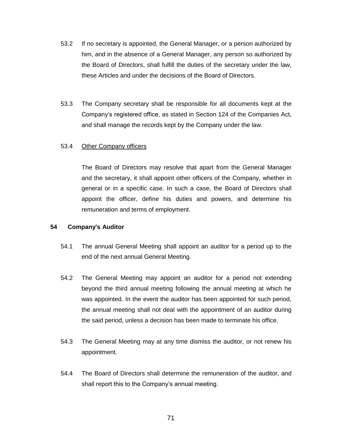- 53.2 If no secretary is appointed, the General Manager, or a person authorized by him, and in the absence of a General Manager, any person so authorized by the Board of Directors, shall fulfill the duties of the secretary under the law, these Articles and under the decisions of the Board of Directors.
- 53.3 The Company secretary shall be responsible for all documents kept at the Company's registered office, as stated in Section 124 of the Companies Act, and shall manage the records kept by the Company under the law.

## 53.4 Other Company officers

The Board of Directors may resolve that apart from the General Manager and the secretary, it shall appoint other officers of the Company, whether in general or in a specific case. In such a case, the Board of Directors shall appoint the officer, define his duties and powers, and determine his remuneration and terms of employment.

## **54 Company's Auditor**

- 54.1 The annual General Meeting shall appoint an auditor for a period up to the end of the next annual General Meeting.
- 54.2 The General Meeting may appoint an auditor for a period not extending beyond the third annual meeting following the annual meeting at which he was appointed. In the event the auditor has been appointed for such period, the annual meeting shall not deal with the appointment of an auditor during the said period, unless a decision has been made to terminate his office.
- 54.3 The General Meeting may at any time dismiss the auditor, or not renew his appointment.
- 54.4 The Board of Directors shall determine the remuneration of the auditor, and shall report this to the Company's annual meeting.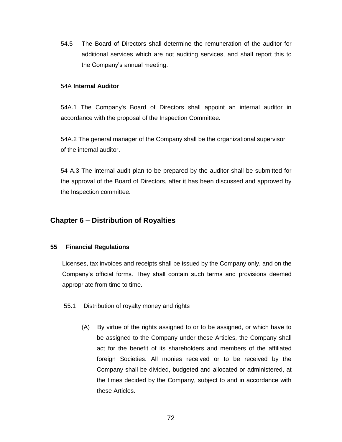54.5 The Board of Directors shall determine the remuneration of the auditor for additional services which are not auditing services, and shall report this to the Company's annual meeting.

## 54A **Internal Auditor**

54A.1 The Company's Board of Directors shall appoint an internal auditor in accordance with the proposal of the Inspection Committee.

54A.2 The general manager of the Company shall be the organizational supervisor of the internal auditor.

54 A.3 The internal audit plan to be prepared by the auditor shall be submitted for the approval of the Board of Directors, after it has been discussed and approved by the Inspection committee.

# **Chapter 6 – Distribution of Royalties**

## **55 Financial Regulations**

Licenses, tax invoices and receipts shall be issued by the Company only, and on the Company's official forms. They shall contain such terms and provisions deemed appropriate from time to time.

## 55.1 Distribution of royalty money and rights

(A) By virtue of the rights assigned to or to be assigned, or which have to be assigned to the Company under these Articles, the Company shall act for the benefit of its shareholders and members of the affiliated foreign Societies. All monies received or to be received by the Company shall be divided, budgeted and allocated or administered, at the times decided by the Company, subject to and in accordance with these Articles.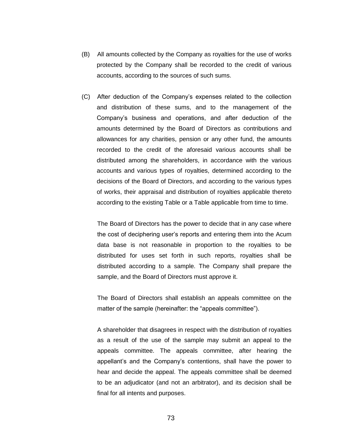- (B) All amounts collected by the Company as royalties for the use of works protected by the Company shall be recorded to the credit of various accounts, according to the sources of such sums.
- (C) After deduction of the Company's expenses related to the collection and distribution of these sums, and to the management of the Company's business and operations, and after deduction of the amounts determined by the Board of Directors as contributions and allowances for any charities, pension or any other fund, the amounts recorded to the credit of the aforesaid various accounts shall be distributed among the shareholders, in accordance with the various accounts and various types of royalties, determined according to the decisions of the Board of Directors, and according to the various types of works, their appraisal and distribution of royalties applicable thereto according to the existing Table or a Table applicable from time to time.

The Board of Directors has the power to decide that in any case where the cost of deciphering user's reports and entering them into the Acum data base is not reasonable in proportion to the royalties to be distributed for uses set forth in such reports, royalties shall be distributed according to a sample. The Company shall prepare the sample, and the Board of Directors must approve it.

The Board of Directors shall establish an appeals committee on the matter of the sample (hereinafter: the "appeals committee").

A shareholder that disagrees in respect with the distribution of royalties as a result of the use of the sample may submit an appeal to the appeals committee. The appeals committee, after hearing the appellant's and the Company's contentions, shall have the power to hear and decide the appeal. The appeals committee shall be deemed to be an adjudicator (and not an arbitrator), and its decision shall be final for all intents and purposes.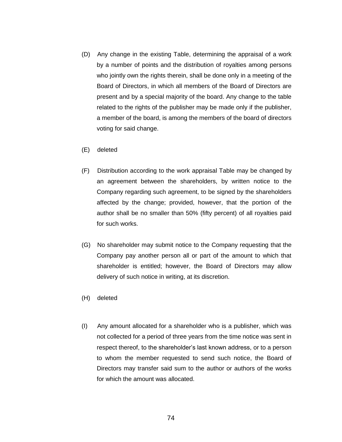- (D) Any change in the existing Table, determining the appraisal of a work by a number of points and the distribution of royalties among persons who jointly own the rights therein, shall be done only in a meeting of the Board of Directors, in which all members of the Board of Directors are present and by a special majority of the board. Any change to the table related to the rights of the publisher may be made only if the publisher, a member of the board, is among the members of the board of directors voting for said change.
- (E) deleted
- (F) Distribution according to the work appraisal Table may be changed by an agreement between the shareholders, by written notice to the Company regarding such agreement, to be signed by the shareholders affected by the change; provided, however, that the portion of the author shall be no smaller than 50% (fifty percent) of all royalties paid for such works.
- (G) No shareholder may submit notice to the Company requesting that the Company pay another person all or part of the amount to which that shareholder is entitled; however, the Board of Directors may allow delivery of such notice in writing, at its discretion.
- (H) deleted
- (I) Any amount allocated for a shareholder who is a publisher, which was not collected for a period of three years from the time notice was sent in respect thereof, to the shareholder's last known address, or to a person to whom the member requested to send such notice, the Board of Directors may transfer said sum to the author or authors of the works for which the amount was allocated.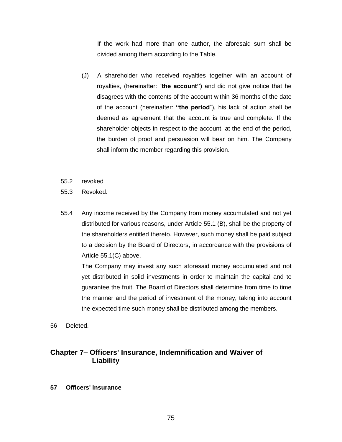If the work had more than one author, the aforesaid sum shall be divided among them according to the Table.

- (J) A shareholder who received royalties together with an account of royalties, (hereinafter: "**the account")** and did not give notice that he disagrees with the contents of the account within 36 months of the date of the account (hereinafter: **"the period**"), his lack of action shall be deemed as agreement that the account is true and complete. If the shareholder objects in respect to the account, at the end of the period, the burden of proof and persuasion will bear on him. The Company shall inform the member regarding this provision.
- 55.2 revoked
- 55.3 Revoked.
- 55.4 Any income received by the Company from money accumulated and not yet distributed for various reasons, under Article 55.1 (B), shall be the property of the shareholders entitled thereto. However, such money shall be paid subject to a decision by the Board of Directors, in accordance with the provisions of Article 55.1(C) above.

The Company may invest any such aforesaid money accumulated and not yet distributed in solid investments in order to maintain the capital and to guarantee the fruit. The Board of Directors shall determine from time to time the manner and the period of investment of the money, taking into account the expected time such money shall be distributed among the members.

56 Deleted.

# **Chapter 7– Officers' Insurance, Indemnification and Waiver of Liability**

**57 Officers' insurance**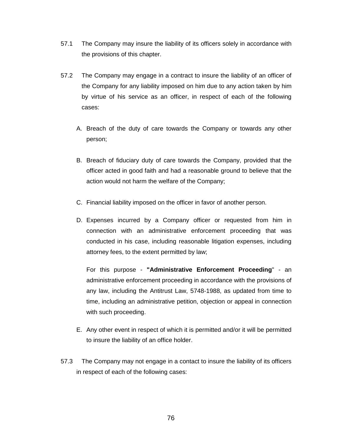- 57.1 The Company may insure the liability of its officers solely in accordance with the provisions of this chapter.
- 57.2 The Company may engage in a contract to insure the liability of an officer of the Company for any liability imposed on him due to any action taken by him by virtue of his service as an officer, in respect of each of the following cases:
	- A. Breach of the duty of care towards the Company or towards any other person;
	- B. Breach of fiduciary duty of care towards the Company, provided that the officer acted in good faith and had a reasonable ground to believe that the action would not harm the welfare of the Company;
	- C. Financial liability imposed on the officer in favor of another person.
	- D. Expenses incurred by a Company officer or requested from him in connection with an administrative enforcement proceeding that was conducted in his case, including reasonable litigation expenses, including attorney fees, to the extent permitted by law;

For this purpose - **"Administrative Enforcement Proceeding**" - an administrative enforcement proceeding in accordance with the provisions of any law, including the Antitrust Law, 5748-1988, as updated from time to time, including an administrative petition, objection or appeal in connection with such proceeding.

- E. Any other event in respect of which it is permitted and/or it will be permitted to insure the liability of an office holder.
- 57.3 The Company may not engage in a contact to insure the liability of its officers in respect of each of the following cases: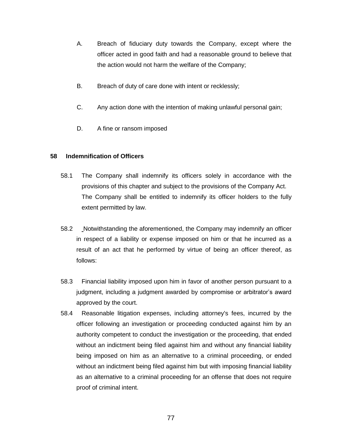- A. Breach of fiduciary duty towards the Company, except where the officer acted in good faith and had a reasonable ground to believe that the action would not harm the welfare of the Company;
- B. Breach of duty of care done with intent or recklessly;
- C. Any action done with the intention of making unlawful personal gain;
- D. A fine or ransom imposed

## **58 Indemnification of Officers**

- 58.1 The Company shall indemnify its officers solely in accordance with the provisions of this chapter and subject to the provisions of the Company Act. The Company shall be entitled to indemnify its officer holders to the fully extent permitted by law.
- 58.2 Notwithstanding the aforementioned, the Company may indemnify an officer in respect of a liability or expense imposed on him or that he incurred as a result of an act that he performed by virtue of being an officer thereof, as follows:
- 58.3 Financial liability imposed upon him in favor of another person pursuant to a judgment, including a judgment awarded by compromise or arbitrator's award approved by the court.
- 58.4 Reasonable litigation expenses, including attorney's fees, incurred by the officer following an investigation or proceeding conducted against him by an authority competent to conduct the investigation or the proceeding, that ended without an indictment being filed against him and without any financial liability being imposed on him as an alternative to a criminal proceeding, or ended without an indictment being filed against him but with imposing financial liability as an alternative to a criminal proceeding for an offense that does not require proof of criminal intent.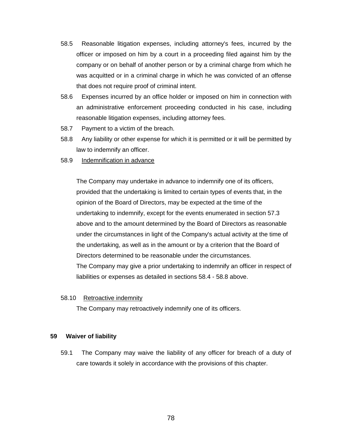- 58.5 Reasonable litigation expenses, including attorney's fees, incurred by the officer or imposed on him by a court in a proceeding filed against him by the company or on behalf of another person or by a criminal charge from which he was acquitted or in a criminal charge in which he was convicted of an offense that does not require proof of criminal intent.
- 58.6 Expenses incurred by an office holder or imposed on him in connection with an administrative enforcement proceeding conducted in his case, including reasonable litigation expenses, including attorney fees.
- 58.7 Payment to a victim of the breach.
- 58.8 Any liability or other expense for which it is permitted or it will be permitted by law to indemnify an officer.
- 58.9 Indemnification in advance

The Company may undertake in advance to indemnify one of its officers, provided that the undertaking is limited to certain types of events that, in the opinion of the Board of Directors, may be expected at the time of the undertaking to indemnify, except for the events enumerated in section 57.3 above and to the amount determined by the Board of Directors as reasonable under the circumstances in light of the Company's actual activity at the time of the undertaking, as well as in the amount or by a criterion that the Board of Directors determined to be reasonable under the circumstances. The Company may give a prior undertaking to indemnify an officer in respect of liabilities or expenses as detailed in sections 58.4 - 58.8 above.

### 58.10 Retroactive indemnity

The Company may retroactively indemnify one of its officers.

## **59 Waiver of liability**

59.1 The Company may waive the liability of any officer for breach of a duty of care towards it solely in accordance with the provisions of this chapter.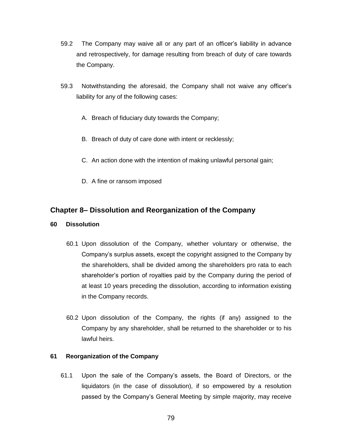- 59.2 The Company may waive all or any part of an officer's liability in advance and retrospectively, for damage resulting from breach of duty of care towards the Company.
- 59.3 Notwithstanding the aforesaid, the Company shall not waive any officer's liability for any of the following cases:
	- A. Breach of fiduciary duty towards the Company;
	- B. Breach of duty of care done with intent or recklessly;
	- C. An action done with the intention of making unlawful personal gain;
	- D. A fine or ransom imposed

## **Chapter 8– Dissolution and Reorganization of the Company**

- **60 Dissolution**
	- 60.1 Upon dissolution of the Company, whether voluntary or otherwise, the Company's surplus assets, except the copyright assigned to the Company by the shareholders, shall be divided among the shareholders pro rata to each shareholder's portion of royalties paid by the Company during the period of at least 10 years preceding the dissolution, according to information existing in the Company records.
	- 60.2 Upon dissolution of the Company, the rights (if any) assigned to the Company by any shareholder, shall be returned to the shareholder or to his lawful heirs.

## **61 Reorganization of the Company**

61.1 Upon the sale of the Company's assets, the Board of Directors, or the liquidators (in the case of dissolution), if so empowered by a resolution passed by the Company's General Meeting by simple majority, may receive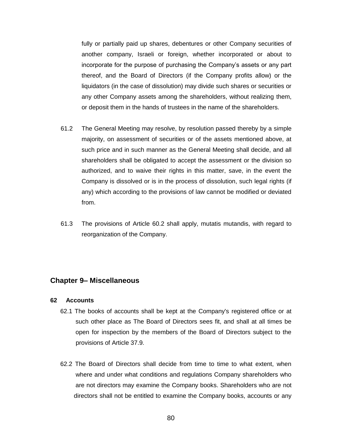fully or partially paid up shares, debentures or other Company securities of another company, Israeli or foreign, whether incorporated or about to incorporate for the purpose of purchasing the Company's assets or any part thereof, and the Board of Directors (if the Company profits allow) or the liquidators (in the case of dissolution) may divide such shares or securities or any other Company assets among the shareholders, without realizing them, or deposit them in the hands of trustees in the name of the shareholders.

- 61.2 The General Meeting may resolve, by resolution passed thereby by a simple majority, on assessment of securities or of the assets mentioned above, at such price and in such manner as the General Meeting shall decide, and all shareholders shall be obligated to accept the assessment or the division so authorized, and to waive their rights in this matter, save, in the event the Company is dissolved or is in the process of dissolution, such legal rights (if any) which according to the provisions of law cannot be modified or deviated from.
- 61.3 The provisions of Article 60.2 shall apply, mutatis mutandis, with regard to reorganization of the Company.

## **Chapter 9– Miscellaneous**

### **62 Accounts**

- 62.1 The books of accounts shall be kept at the Company's registered office or at such other place as The Board of Directors sees fit, and shall at all times be open for inspection by the members of the Board of Directors subject to the provisions of Article 37.9.
- 62.2 The Board of Directors shall decide from time to time to what extent, when where and under what conditions and regulations Company shareholders who are not directors may examine the Company books. Shareholders who are not directors shall not be entitled to examine the Company books, accounts or any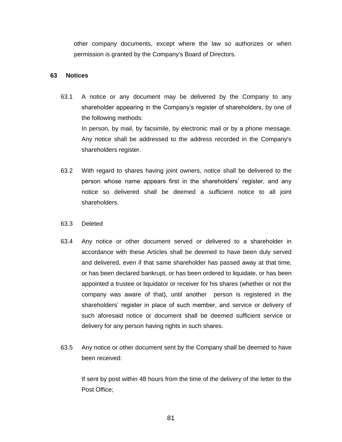other company documents, except where the law so authorizes or when permission is granted by the Company's Board of Directors.

#### **63 Notices**

- 63.1 A notice or any document may be delivered by the Company to any shareholder appearing in the Company's register of shareholders, by one of the following methods: In person, by mail, by facsimile, by electronic mail or by a phone message. Any notice shall be addressed to the address recorded in the Company's shareholders register.
- 63.2 With regard to shares having joint owners, notice shall be delivered to the person whose name appears first in the shareholders' register, and any notice so delivered shall be deemed a sufficient notice to all joint shareholders.
- 63.3 Deleted
- 63.4 Any notice or other document served or delivered to a shareholder in accordance with these Articles shall be deemed to have been duly served and delivered, even if that same shareholder has passed away at that time, or has been declared bankrupt, or has been ordered to liquidate, or has been appointed a trustee or liquidator or receiver for his shares (whether or not the company was aware of that), until another person is registered in the shareholders' register in place of such member, and service or delivery of such aforesaid notice or document shall be deemed sufficient service or delivery for any person having rights in such shares.
- 63.5 Any notice or other document sent by the Company shall be deemed to have been received:

If sent by post within 48 hours from the time of the delivery of the letter to the Post Office;